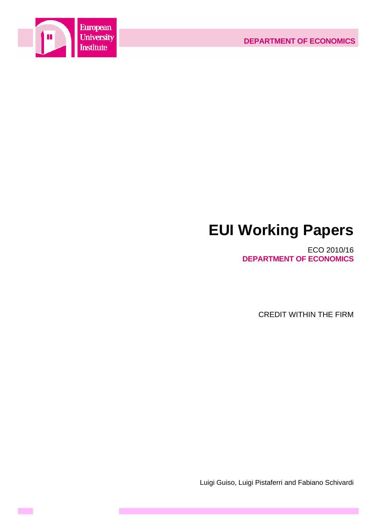

**Contract** 

# **EUI Working Papers**

ECO 2010/16 **DEPARTMENT OF ECONOMICS**

CREDIT WITHIN THE FIRM

Luigi Guiso, Luigi Pistaferri and Fabiano Schivardi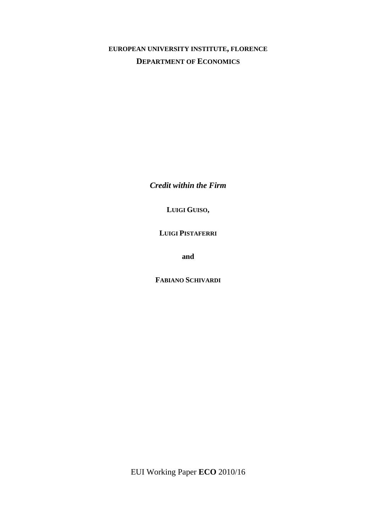# **EUROPEAN UNIVERSITY INSTITUTE, FLORENCE DEPARTMENT OF ECONOMICS**

*Credit within the Firm* 

**LUIGI GUISO,** 

**LUIGI PISTAFERRI**

**and** 

**FABIANO SCHIVARDI**

EUI Working Paper **ECO** 2010/16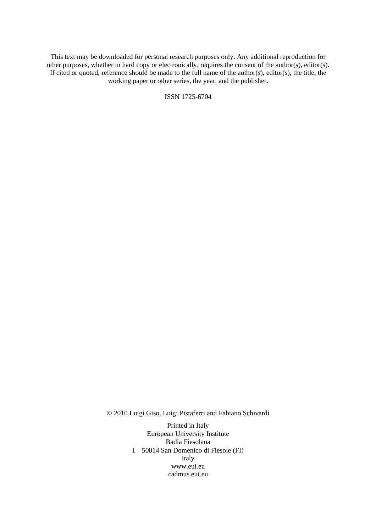This text may be downloaded for personal research purposes only. Any additional reproduction for other purposes, whether in hard copy or electronically, requires the consent of the author(s), editor(s). If cited or quoted, reference should be made to the full name of the author(s), editor(s), the title, the working paper or other series, the year, and the publisher.

ISSN 1725-6704

© 2010 Luigi Giso, Luigi Pistaferri and Fabiano Schivardi

Printed in Italy European University Institute Badia Fiesolana I – 50014 San Domenico di Fiesole (FI) Italy [www.eui.eu](http://www.eui.eu/)  [cadmus.eui.eu](http://www.eui.eu/)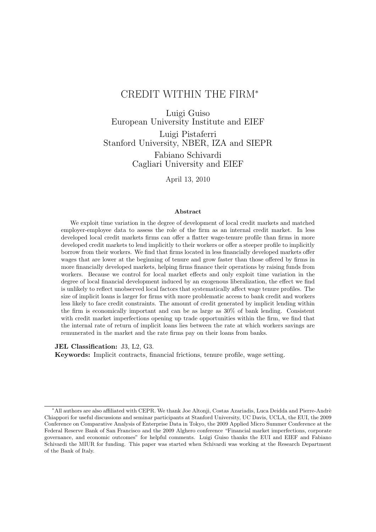# CREDIT WITHIN THE FIRM<sup>∗</sup>

Luigi Guiso European University Institute and EIEF Luigi Pistaferri Stanford University, NBER, IZA and SIEPR Fabiano Schivardi Cagliari University and EIEF

April 13, 2010

#### **Abstract**

We exploit time variation in the degree of development of local credit markets and matched employer-employee data to assess the role of the firm as an internal credit market. In less developed local credit markets firms can offer a flatter wage-tenure profile than firms in more developed credit markets to lend implicitly to their workers or offer a steeper profile to implicitly borrow from their workers. We find that firms located in less financially developed markets offer wages that are lower at the beginning of tenure and grow faster than those offered by firms in more financially developed markets, helping firms finance their operations by raising funds from workers. Because we control for local market effects and only exploit time variation in the degree of local financial development induced by an exogenous liberalization, the effect we find is unlikely to reflect unobserved local factors that systematically affect wage tenure profiles. The size of implicit loans is larger for firms with more problematic access to bank credit and workers less likely to face credit constraints. The amount of credit generated by implicit lending within the firm is economically important and can be as large as 30% of bank lending. Consistent with credit market imperfections opening up trade opportunities within the firm, we find that the internal rate of return of implicit loans lies between the rate at which workers savings are remunerated in the market and the rate firms pay on their loans from banks.

**JEL Classification:** J3, L2, G3.

**Keywords:** Implicit contracts, financial frictions, tenure profile, wage setting.

<sup>\*</sup>All authors are also affiliated with CEPR. We thank Joe Altonji, Costas Azariadis, Luca Deidda and Pierre-Andrè Chiappori for useful discussions and seminar participants at Stanford University, UC Davis, UCLA, the EUI, the 2009 Conference on Comparative Analysis of Enterprise Data in Tokyo, the 2009 Applied Micro Summer Conference at the Federal Reserve Bank of San Francisco and the 2009 Alghero conference "Financial market imperfections, corporate governance, and economic outcomes" for helpful comments. Luigi Guiso thanks the EUI and EIEF and Fabiano Schivardi the MIUR for funding. This paper was started when Schivardi was working at the Research Department of the Bank of Italy.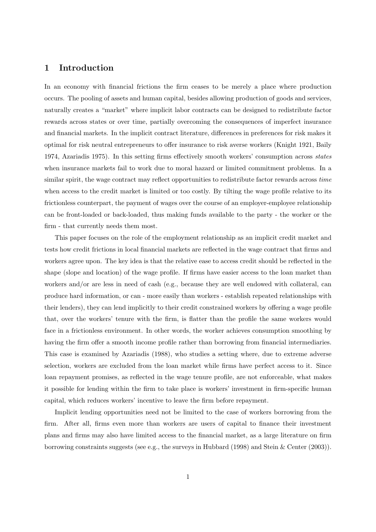# **1 Introduction**

In an economy with financial frictions the firm ceases to be merely a place where production occurs. The pooling of assets and human capital, besides allowing production of goods and services, naturally creates a "market" where implicit labor contracts can be designed to redistribute factor rewards across states or over time, partially overcoming the consequences of imperfect insurance and financial markets. In the implicit contract literature, differences in preferences for risk makes it optimal for risk neutral entrepreneurs to offer insurance to risk averse workers (Knight 1921, Baily 1974, Azariadis 1975). In this setting firms effectively smooth workers' consumption across states when insurance markets fail to work due to moral hazard or limited commitment problems. In a similar spirit, the wage contract may reflect opportunities to redistribute factor rewards across time when access to the credit market is limited or too costly. By tilting the wage profile relative to its frictionless counterpart, the payment of wages over the course of an employer-employee relationship can be front-loaded or back-loaded, thus making funds available to the party - the worker or the firm - that currently needs them most.

This paper focuses on the role of the employment relationship as an implicit credit market and tests how credit frictions in local financial markets are reflected in the wage contract that firms and workers agree upon. The key idea is that the relative ease to access credit should be reflected in the shape (slope and location) of the wage profile. If firms have easier access to the loan market than workers and/or are less in need of cash (e.g., because they are well endowed with collateral, can produce hard information, or can - more easily than workers - establish repeated relationships with their lenders), they can lend implicitly to their credit constrained workers by offering a wage profile that, over the workers' tenure with the firm, is flatter than the profile the same workers would face in a frictionless environment. In other words, the worker achieves consumption smoothing by having the firm offer a smooth income profile rather than borrowing from financial intermediaries. This case is examined by Azariadis (1988), who studies a setting where, due to extreme adverse selection, workers are excluded from the loan market while firms have perfect access to it. Since loan repayment promises, as reflected in the wage tenure profile, are not enforceable, what makes it possible for lending within the firm to take place is workers' investment in firm-specific human capital, which reduces workers' incentive to leave the firm before repayment.

Implicit lending opportunities need not be limited to the case of workers borrowing from the firm. After all, firms even more than workers are users of capital to finance their investment plans and firms may also have limited access to the financial market, as a large literature on firm borrowing constraints suggests (see e.g., the surveys in Hubbard (1998) and Stein & Center (2003)).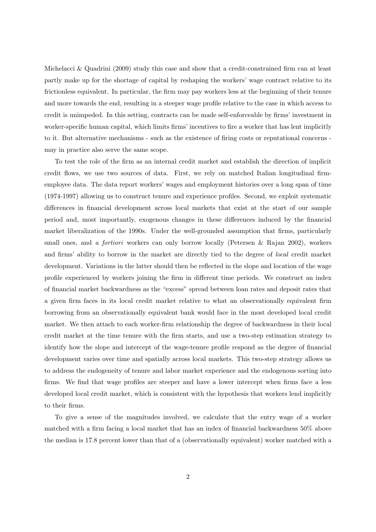Michelacci & Quadrini (2009) study this case and show that a credit-constrained firm can at least partly make up for the shortage of capital by reshaping the workers' wage contract relative to its frictionless equivalent. In particular, the firm may pay workers less at the beginning of their tenure and more towards the end, resulting in a steeper wage profile relative to the case in which access to credit is unimpeded. In this setting, contracts can be made self-enforceable by firms' investment in worker-specific human capital, which limits firms' incentives to fire a worker that has lent implicitly to it. But alternative mechanisms - such as the existence of firing costs or reputational concerns may in practice also serve the same scope.

To test the role of the firm as an internal credit market and establish the direction of implicit credit flows, we use two sources of data. First, we rely on matched Italian longitudinal firmemployee data. The data report workers' wages and employment histories over a long span of time (1974-1997) allowing us to construct tenure and experience profiles. Second, we exploit systematic differences in financial development across local markets that exist at the start of our sample period and, most importantly, exogenous changes in these differences induced by the financial market liberalization of the 1990s. Under the well-grounded assumption that firms, particularly small ones, and a fortiori workers can only borrow locally (Petersen & Rajan 2002), workers and firms' ability to borrow in the market are directly tied to the degree of local credit market development. Variations in the latter should then be reflected in the slope and location of the wage profile experienced by workers joining the firm in different time periods. We construct an index of financial market backwardness as the "excess" spread between loan rates and deposit rates that a given firm faces in its local credit market relative to what an observationally equivalent firm borrowing from an observationally equivalent bank would face in the most developed local credit market. We then attach to each worker-firm relationship the degree of backwardness in their local credit market at the time tenure with the firm starts, and use a two-step estimation strategy to identify how the slope and intercept of the wage-tenure profile respond as the degree of financial development varies over time and spatially across local markets. This two-step strategy allows us to address the endogeneity of tenure and labor market experience and the endogenous sorting into firms. We find that wage profiles are steeper and have a lower intercept when firms face a less developed local credit market, which is consistent with the hypothesis that workers lend implicitly to their firms.

To give a sense of the magnitudes involved, we calculate that the entry wage of a worker matched with a firm facing a local market that has an index of financial backwardness 50% above the median is 17.8 percent lower than that of a (observationally equivalent) worker matched with a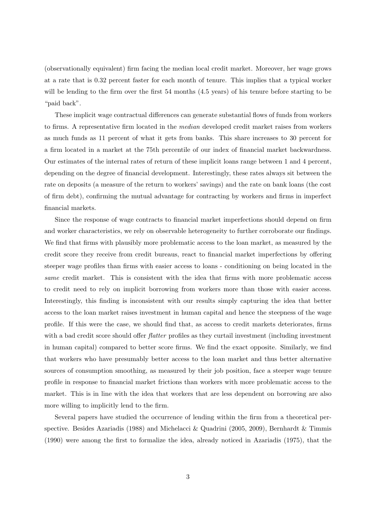(observationally equivalent) firm facing the median local credit market. Moreover, her wage grows at a rate that is 0.32 percent faster for each month of tenure. This implies that a typical worker will be lending to the firm over the first 54 months (4.5 years) of his tenure before starting to be "paid back".

These implicit wage contractual differences can generate substantial flows of funds from workers to firms. A representative firm located in the median developed credit market raises from workers as much funds as 11 percent of what it gets from banks. This share increases to 30 percent for a firm located in a market at the 75th percentile of our index of financial market backwardness. Our estimates of the internal rates of return of these implicit loans range between 1 and 4 percent, depending on the degree of financial development. Interestingly, these rates always sit between the rate on deposits (a measure of the return to workers' savings) and the rate on bank loans (the cost of firm debt), confirming the mutual advantage for contracting by workers and firms in imperfect financial markets.

Since the response of wage contracts to financial market imperfections should depend on firm and worker characteristics, we rely on observable heterogeneity to further corroborate our findings. We find that firms with plausibly more problematic access to the loan market, as measured by the credit score they receive from credit bureaus, react to financial market imperfections by offering steeper wage profiles than firms with easier access to loans - conditioning on being located in the same credit market. This is consistent with the idea that firms with more problematic access to credit need to rely on implicit borrowing from workers more than those with easier access. Interestingly, this finding is inconsistent with our results simply capturing the idea that better access to the loan market raises investment in human capital and hence the steepness of the wage profile. If this were the case, we should find that, as access to credit markets deteriorates, firms with a bad credit score should offer *flatter* profiles as they curtail investment (including investment in human capital) compared to better score firms. We find the exact opposite. Similarly, we find that workers who have presumably better access to the loan market and thus better alternative sources of consumption smoothing, as measured by their job position, face a steeper wage tenure profile in response to financial market frictions than workers with more problematic access to the market. This is in line with the idea that workers that are less dependent on borrowing are also more willing to implicitly lend to the firm.

Several papers have studied the occurrence of lending within the firm from a theoretical perspective. Besides Azariadis (1988) and Michelacci & Quadrini (2005, 2009), Bernhardt & Timmis (1990) were among the first to formalize the idea, already noticed in Azariadis (1975), that the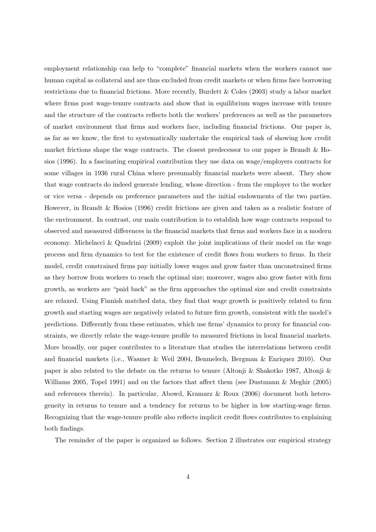employment relationship can help to "complete" financial markets when the workers cannot use human capital as collateral and are thus excluded from credit markets or when firms face borrowing restrictions due to financial frictions. More recently, Burdett & Coles (2003) study a labor market where firms post wage-tenure contracts and show that in equilibrium wages increase with tenure and the structure of the contracts reflects both the workers' preferences as well as the parameters of market environment that firms and workers face, including financial frictions. Our paper is, as far as we know, the first to systematically undertake the empirical task of showing how credit market frictions shape the wage contracts. The closest predecessor to our paper is Brandt & Hosios (1996). In a fascinating empirical contribution they use data on wage/employers contracts for some villages in 1936 rural China where presumably financial markets were absent. They show that wage contracts do indeed generate lending, whose direction - from the employer to the worker or vice versa - depends on preference parameters and the initial endowments of the two parties. However, in Brandt & Hosios (1996) credit frictions are given and taken as a realistic feature of the environment. In contrast, our main contribution is to establish how wage contracts respond to observed and measured differences in the financial markets that firms and workers face in a modern economy. Michelacci & Quadrini (2009) exploit the joint implications of their model on the wage process and firm dynamics to test for the existence of credit flows from workers to firms. In their model, credit constrained firms pay initially lower wages and grow faster than unconstrained firms as they borrow from workers to reach the optimal size; moreover, wages also grow faster with firm growth, as workers are "paid back" as the firm approaches the optimal size and credit constraints are relaxed. Using Finnish matched data, they find that wage growth is positively related to firm growth and starting wages are negatively related to future firm growth, consistent with the model's predictions. Differently from these estimates, which use firms' dynamics to proxy for financial constraints, we directly relate the wage-tenure profile to measured frictions in local financial markets. More broadly, our paper contributes to a literature that studies the interrelations between credit and financial markets (i.e., Wasmer & Weil 2004, Benmelech, Bergman & Enriquez 2010). Our paper is also related to the debate on the returns to tenure (Altonji & Shakotko 1987, Altonji & Williams 2005, Topel 1991) and on the factors that affect them (see Dustmann & Meghir (2005) and references therein). In particular, Abowd, Kramarz & Roux (2006) document both heterogeneity in returns to tenure and a tendency for returns to be higher in low starting-wage firms. Recognizing that the wage-tenure profile also reflects implicit credit flows contributes to explaining both findings.

The reminder of the paper is organized as follows. Section 2 illustrates our empirical strategy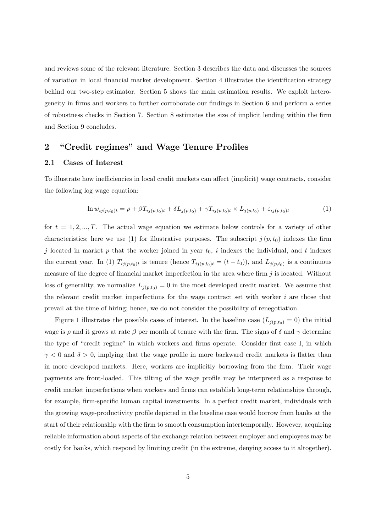and reviews some of the relevant literature. Section 3 describes the data and discusses the sources of variation in local financial market development. Section 4 illustrates the identification strategy behind our two-step estimator. Section 5 shows the main estimation results. We exploit heterogeneity in firms and workers to further corroborate our findings in Section 6 and perform a series of robustness checks in Section 7. Section 8 estimates the size of implicit lending within the firm and Section 9 concludes.

## **2 "Credit regimes" and Wage Tenure Profiles**

#### **2.1 Cases of Interest**

To illustrate how inefficiencies in local credit markets can affect (implicit) wage contracts, consider the following log wage equation:

$$
\ln w_{ij(p,t_0)t} = \rho + \beta T_{ij(p,t_0)t} + \delta L_{j(p,t_0)} + \gamma T_{ij(p,t_0)t} \times L_{j(p,t_0)} + \varepsilon_{ij(p,t_0)t}
$$
\n(1)

for  $t = 1, 2, ..., T$ . The actual wage equation we estimate below controls for a variety of other characteristics; here we use (1) for illustrative purposes. The subscript  $j(p, t_0)$  indexes the firm j located in market p that the worker joined in year  $t_0$ , i indexes the individual, and t indexes the current year. In (1)  $T_{ij(p,t_0)t}$  is tenure (hence  $T_{ij(p,t_0)t} = (t-t_0)$ ), and  $L_{j(p,t_0)}$  is a continuous measure of the degree of financial market imperfection in the area where firm  $j$  is located. Without loss of generality, we normalize  $L_{j(p,t_0)} = 0$  in the most developed credit market. We assume that the relevant credit market imperfections for the wage contract set with worker i are those that prevail at the time of hiring; hence, we do not consider the possibility of renegotiation.

Figure 1 illustrates the possible cases of interest. In the baseline case  $(L_{j(p,t_0)} = 0)$  the initial wage is  $\rho$  and it grows at rate  $\beta$  per month of tenure with the firm. The signs of  $\delta$  and  $\gamma$  determine the type of "credit regime" in which workers and firms operate. Consider first case I, in which  $\gamma$  < 0 and  $\delta$  > 0, implying that the wage profile in more backward credit markets is flatter than in more developed markets. Here, workers are implicitly borrowing from the firm. Their wage payments are front-loaded. This tilting of the wage profile may be interpreted as a response to credit market imperfections when workers and firms can establish long-term relationships through, for example, firm-specific human capital investments. In a perfect credit market, individuals with the growing wage-productivity profile depicted in the baseline case would borrow from banks at the start of their relationship with the firm to smooth consumption intertemporally. However, acquiring reliable information about aspects of the exchange relation between employer and employees may be costly for banks, which respond by limiting credit (in the extreme, denying access to it altogether).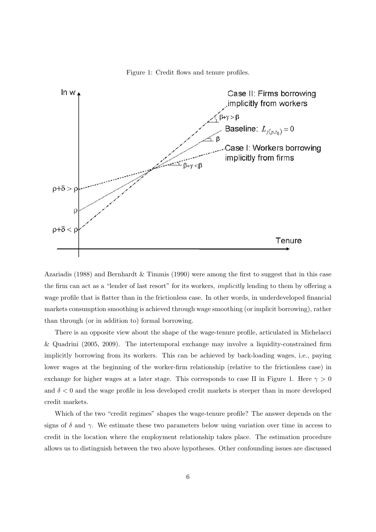



Azariadis (1988) and Bernhardt & Timmis (1990) were among the first to suggest that in this case the firm can act as a "lender of last resort" for its workers, implicitly lending to them by offering a wage profile that is flatter than in the frictionless case. In other words, in underdeveloped financial markets consumption smoothing is achieved through wage smoothing (or implicit borrowing), rather than through (or in addition to) formal borrowing.

There is an opposite view about the shape of the wage-tenure profile, articulated in Michelacci & Quadrini (2005, 2009). The intertemporal exchange may involve a liquidity-constrained firm implicitly borrowing from its workers. This can be achieved by back-loading wages, i.e., paying lower wages at the beginning of the worker-firm relationship (relative to the frictionless case) in exchange for higher wages at a later stage. This corresponds to case II in Figure 1. Here  $\gamma > 0$ and  $\delta < 0$  and the wage profile in less developed credit markets is steeper than in more developed credit markets.

Which of the two "credit regimes" shapes the wage-tenure profile? The answer depends on the signs of  $\delta$  and  $\gamma$ . We estimate these two parameters below using variation over time in access to credit in the location where the employment relationship takes place. The estimation procedure allows us to distinguish between the two above hypotheses. Other confounding issues are discussed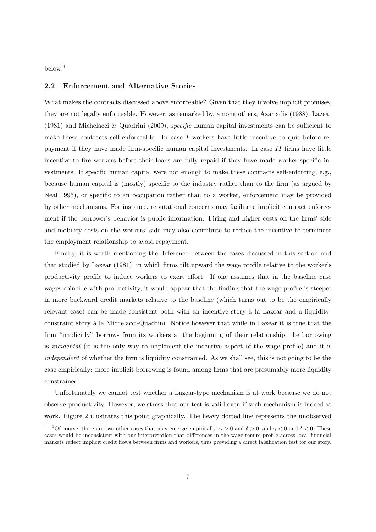$below.<sup>1</sup>$ 

#### **2.2 Enforcement and Alternative Stories**

What makes the contracts discussed above enforceable? Given that they involve implicit promises, they are not legally enforceable. However, as remarked by, among others, Azariadis (1988), Lazear (1981) and Michelacci & Quadrini (2009), specific human capital investments can be sufficient to make these contracts self-enforceable. In case  $I$  workers have little incentive to quit before repayment if they have made firm-specific human capital investments. In case  $II$  firms have little incentive to fire workers before their loans are fully repaid if they have made worker-specific investments. If specific human capital were not enough to make these contracts self-enforcing, e.g., because human capital is (mostly) specific to the industry rather than to the firm (as argued by Neal 1995), or specific to an occupation rather than to a worker, enforcement may be provided by other mechanisms. For instance, reputational concerns may facilitate implicit contract enforcement if the borrower's behavior is public information. Firing and higher costs on the firms' side and mobility costs on the workers' side may also contribute to reduce the incentive to terminate the employment relationship to avoid repayment.

Finally, it is worth mentioning the difference between the cases discussed in this section and that studied by Lazear (1981), in which firms tilt upward the wage profile relative to the worker's productivity profile to induce workers to exert effort. If one assumes that in the baseline case wages coincide with productivity, it would appear that the finding that the wage profile is steeper in more backward credit markets relative to the baseline (which turns out to be the empirically relevant case) can be made consistent both with an incentive story à la Lazear and a liquidityconstraint story à la Michelacci-Quadrini. Notice however that while in Lazear it is true that the firm "implicitly" borrows from its workers at the beginning of their relationship, the borrowing is incidental (it is the only way to implement the incentive aspect of the wage profile) and it is independent of whether the firm is liquidity constrained. As we shall see, this is not going to be the case empirically: more implicit borrowing is found among firms that are presumably more liquidity constrained.

Unfortunately we cannot test whether a Lazear-type mechanism is at work because we do not observe productivity. However, we stress that our test is valid even if such mechanism is indeed at work. Figure 2 illustrates this point graphically. The heavy dotted line represents the unobserved

<sup>&</sup>lt;sup>1</sup>Of course, there are two other cases that may emerge empirically:  $\gamma > 0$  and  $\delta > 0$ , and  $\gamma < 0$  and  $\delta < 0$ . These cases would be inconsistent with our interpretation that differences in the wage-tenure profile across local financial markets reflect implicit credit flows between firms and workers, thus providing a direct falsification test for our story.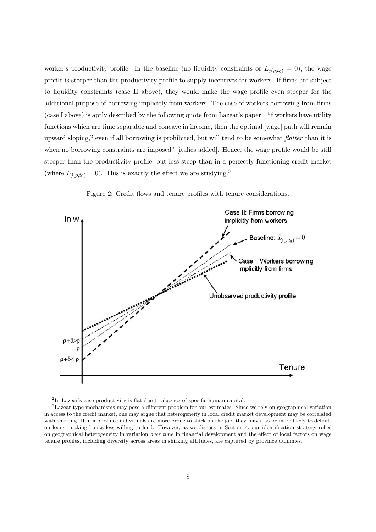worker's productivity profile. In the baseline (no liquidity constraints or  $L_{j(p,t_0)} = 0$ ), the wage profile is steeper than the productivity profile to supply incentives for workers. If firms are subject to liquidity constraints (case II above), they would make the wage profile even steeper for the additional purpose of borrowing implicitly from workers. The case of workers borrowing from firms (case I above) is aptly described by the following quote from Lazear's paper: "if workers have utility functions which are time separable and concave in income, then the optimal [wage] path will remain upward sloping,<sup>2</sup> even if all borrowing is prohibited, but will tend to be somewhat *flatter* than it is when no borrowing constraints are imposed" [italics added]. Hence, the wage profile would be still steeper than the productivity profile, but less steep than in a perfectly functioning credit market (where  $L_{j(p,t_0)} = 0$ ). This is exactly the effect we are studying.<sup>3</sup>



Figure 2: Credit flows and tenure profiles with tenure considerations.

<sup>2</sup>In Lazear's case productivity is flat due to absence of specific human capital.

<sup>3</sup>Lazear-type mechanisms may pose a different problem for our estimates. Since we rely on geographical variation in access to the credit market, one may argue that heterogeneity in local credit market development may be correlated with shirking. If in a province individuals are more prone to shirk on the job, they may also be more likely to default on loans, making banks less willing to lend. However, as we discuss in Section 4, our identification strategy relies on geographical heterogeneity in variation over time in financial development and the effect of local factors on wage tenure profiles, including diversity across areas in shirking attitudes, are captured by province dummies.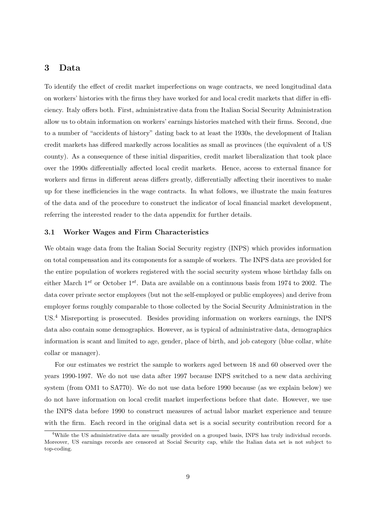# **3 Data**

To identify the effect of credit market imperfections on wage contracts, we need longitudinal data on workers' histories with the firms they have worked for and local credit markets that differ in efficiency. Italy offers both. First, administrative data from the Italian Social Security Administration allow us to obtain information on workers' earnings histories matched with their firms. Second, due to a number of "accidents of history" dating back to at least the 1930s, the development of Italian credit markets has differed markedly across localities as small as provinces (the equivalent of a US county). As a consequence of these initial disparities, credit market liberalization that took place over the 1990s differentially affected local credit markets. Hence, access to external finance for workers and firms in different areas differs greatly, differentially affecting their incentives to make up for these inefficiencies in the wage contracts. In what follows, we illustrate the main features of the data and of the procedure to construct the indicator of local financial market development, referring the interested reader to the data appendix for further details.

#### **3.1 Worker Wages and Firm Characteristics**

We obtain wage data from the Italian Social Security registry (INPS) which provides information on total compensation and its components for a sample of workers. The INPS data are provided for the entire population of workers registered with the social security system whose birthday falls on either March  $1^{st}$  or October  $1^{st}$ . Data are available on a continuous basis from 1974 to 2002. The data cover private sector employees (but not the self-employed or public employees) and derive from employer forms roughly comparable to those collected by the Social Security Administration in the US.<sup>4</sup> Misreporting is prosecuted. Besides providing information on workers earnings, the INPS data also contain some demographics. However, as is typical of administrative data, demographics information is scant and limited to age, gender, place of birth, and job category (blue collar, white collar or manager).

For our estimates we restrict the sample to workers aged between 18 and 60 observed over the years 1990-1997. We do not use data after 1997 because INPS switched to a new data archiving system (from OM1 to SA770). We do not use data before 1990 because (as we explain below) we do not have information on local credit market imperfections before that date. However, we use the INPS data before 1990 to construct measures of actual labor market experience and tenure with the firm. Each record in the original data set is a social security contribution record for a

<sup>&</sup>lt;sup>4</sup>While the US administrative data are usually provided on a grouped basis, INPS has truly individual records. Moreover, US earnings records are censored at Social Security cap, while the Italian data set is not subject to top-coding.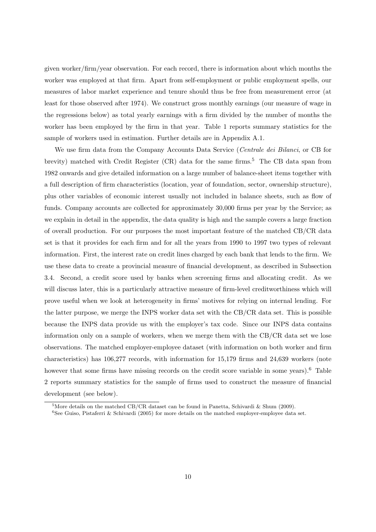given worker/firm/year observation. For each record, there is information about which months the worker was employed at that firm. Apart from self-employment or public employment spells, our measures of labor market experience and tenure should thus be free from measurement error (at least for those observed after 1974). We construct gross monthly earnings (our measure of wage in the regressions below) as total yearly earnings with a firm divided by the number of months the worker has been employed by the firm in that year. Table 1 reports summary statistics for the sample of workers used in estimation. Further details are in Appendix A.1.

We use firm data from the Company Accounts Data Service (Centrale dei Bilanci, or CB for brevity) matched with Credit Register  $(CR)$  data for the same firms.<sup>5</sup> The CB data span from 1982 onwards and give detailed information on a large number of balance-sheet items together with a full description of firm characteristics (location, year of foundation, sector, ownership structure), plus other variables of economic interest usually not included in balance sheets, such as flow of funds. Company accounts are collected for approximately 30,000 firms per year by the Service; as we explain in detail in the appendix, the data quality is high and the sample covers a large fraction of overall production. For our purposes the most important feature of the matched CB/CR data set is that it provides for each firm and for all the years from 1990 to 1997 two types of relevant information. First, the interest rate on credit lines charged by each bank that lends to the firm. We use these data to create a provincial measure of financial development, as described in Subsection 3.4. Second, a credit score used by banks when screening firms and allocating credit. As we will discuss later, this is a particularly attractive measure of firm-level creditworthiness which will prove useful when we look at heterogeneity in firms' motives for relying on internal lending. For the latter purpose, we merge the INPS worker data set with the CB/CR data set. This is possible because the INPS data provide us with the employer's tax code. Since our INPS data contains information only on a sample of workers, when we merge them with the CB/CR data set we lose observations. The matched employer-employee dataset (with information on both worker and firm characteristics) has 106,277 records, with information for 15,179 firms and 24,639 workers (note however that some firms have missing records on the credit score variable in some years).<sup>6</sup> Table 2 reports summary statistics for the sample of firms used to construct the measure of financial development (see below).

 $5$ More details on the matched CB/CR dataset can be found in Panetta, Schivardi & Shum (2009).

 $6$ See Guiso, Pistaferri & Schivardi (2005) for more details on the matched employer-employee data set.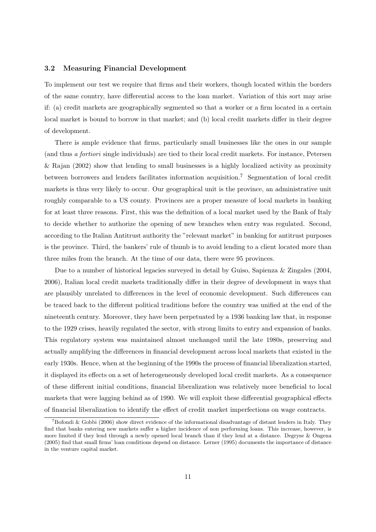#### **3.2 Measuring Financial Development**

To implement our test we require that firms and their workers, though located within the borders of the same country, have differential access to the loan market. Variation of this sort may arise if: (a) credit markets are geographically segmented so that a worker or a firm located in a certain local market is bound to borrow in that market; and (b) local credit markets differ in their degree of development.

There is ample evidence that firms, particularly small businesses like the ones in our sample (and thus a fortiori single individuals) are tied to their local credit markets. For instance, Petersen & Rajan (2002) show that lending to small businesses is a highly localized activity as proximity between borrowers and lenders facilitates information acquisition.<sup>7</sup> Segmentation of local credit markets is thus very likely to occur. Our geographical unit is the province, an administrative unit roughly comparable to a US county. Provinces are a proper measure of local markets in banking for at least three reasons. First, this was the definition of a local market used by the Bank of Italy to decide whether to authorize the opening of new branches when entry was regulated. Second, according to the Italian Antitrust authority the "relevant market" in banking for antitrust purposes is the province. Third, the bankers' rule of thumb is to avoid lending to a client located more than three miles from the branch. At the time of our data, there were 95 provinces.

Due to a number of historical legacies surveyed in detail by Guiso, Sapienza & Zingales (2004, 2006), Italian local credit markets traditionally differ in their degree of development in ways that are plausibly unrelated to differences in the level of economic development. Such differences can be traced back to the different political traditions before the country was unified at the end of the nineteenth century. Moreover, they have been perpetuated by a 1936 banking law that, in response to the 1929 crises, heavily regulated the sector, with strong limits to entry and expansion of banks. This regulatory system was maintained almost unchanged until the late 1980s, preserving and actually amplifying the differences in financial development across local markets that existed in the early 1930s. Hence, when at the beginning of the 1990s the process of financial liberalization started, it displayed its effects on a set of heterogeneously developed local credit markets. As a consequence of these different initial conditions, financial liberalization was relatively more beneficial to local markets that were lagging behind as of 1990. We will exploit these differential geographical effects of financial liberalization to identify the effect of credit market imperfections on wage contracts.

 $^7$ Bofondi & Gobbi (2006) show direct evidence of the informational disadvantage of distant lenders in Italy. They find that banks entering new markets suffer a higher incidence of non performing loans. This increase, however, is more limited if they lend through a newly opened local branch than if they lend at a distance. Degryse & Ongena (2005) find that small firms' loan conditions depend on distance. Lerner (1995) documents the importance of distance in the venture capital market.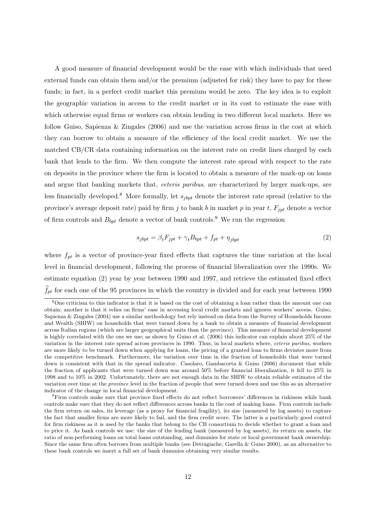A good measure of financial development would be the ease with which individuals that need external funds can obtain them and/or the premium (adjusted for risk) they have to pay for these funds; in fact, in a perfect credit market this premium would be zero. The key idea is to exploit the geographic variation in access to the credit market or in its cost to estimate the ease with which otherwise equal firms or workers can obtain lending in two different local markets. Here we follow Guiso, Sapienza & Zingales (2006) and use the variation across firms in the cost at which they can borrow to obtain a measure of the efficiency of the local credit market. We use the matched CB/CR data containing information on the interest rate on credit lines charged by each bank that lends to the firm. We then compute the interest rate spread with respect to the rate on deposits in the province where the firm is located to obtain a measure of the mark-up on loans and argue that banking markets that, ceteris paribus, are characterized by larger mark-ups, are less financially developed.<sup>8</sup> More formally, let  $s_{ibpt}$  denote the interest rate spread (relative to the province's average deposit rate) paid by firm j to bank b in market p in year t,  $F_{jpt}$  denote a vector of firm controls and  $B_{\text{bpt}}$  denote a vector of bank controls.<sup>9</sup> We run the regression

$$
s_{jbpt} = \beta_t F_{jpt} + \gamma_t B_{bpt} + f_{pt} + \eta_{jbpt} \tag{2}
$$

where  $f_{pt}$  is a vector of province-year fixed effects that captures the time variation at the local level in financial development, following the process of financial liberalization over the 1990s. We estimate equation (2) year by year between 1990 and 1997, and retrieve the estimated fixed effect  $f_{pt}$  for each one of the 95 provinces in which the country is divided and for each year between 1990

<sup>&</sup>lt;sup>8</sup>One criticism to this indicator is that it is based on the cost of obtaining a loan rather than the amount one can obtain; another is that it relies on firms' ease in accessing local credit markets and ignores workers' access. Guiso, Sapienza & Zingales (2004) use a similar methodology but rely instead on data from the Survey of Households Income and Wealth (SHIW) on households that were turned down by a bank to obtain a measure of financial development across Italian regions (which are larger geographical units than the province). This measure of financial development is highly correlated with the one we use; as shown by Guiso et al. (2006) this indicator can explain about 25% of the variation in the interest rate spread across provinces in 1990. Thus, in local markets where, ceteris paribus, workers are more likely to be turned down when applying for loans, the pricing of a granted loan to firms deviates more from the competitive benchmark. Furthermore, the variation over time in the fraction of households that were turned down is consistent with that in the spread indicator. Casolaro, Gambacorta & Guiso (2006) document that while the fraction of applicants that were turned down was around 50% before financial liberalization, it fell to 25% in 1998 and to 10% in 2002. Unfortunately, there are not enough data in the SHIW to obtain reliable estimates of the variation over time at the province level in the fraction of people that were turned down and use this as an alternative indicator of the change in local financial development.

<sup>9</sup>Firm controls make sure that province fixed effects do not reflect borrowers' differences in riskiness while bank controls make sure that they do not reflect differences across banks in the cost of making loans. Firm controls include the firm return on sales, its leverage (as a proxy for financial fragility), its size (measured by log assets) to capture the fact that smaller firms are more likely to fail, and the firm credit score. The latter is a particularly good control for firm riskiness as it is used by the banks that belong to the CB consortium to decide whether to grant a loan and to price it. As bank controls we use: the size of the lending bank (measured by log assets), its return on assets, the ratio of non-performing loans on total loans outstanding, and dummies for state or local government bank ownership. Since the same firm often borrows from multiple banks (see Detragiache, Garella & Guiso 2000), as an alternative to these bank controls we insert a full set of bank dummies obtaining very similar results.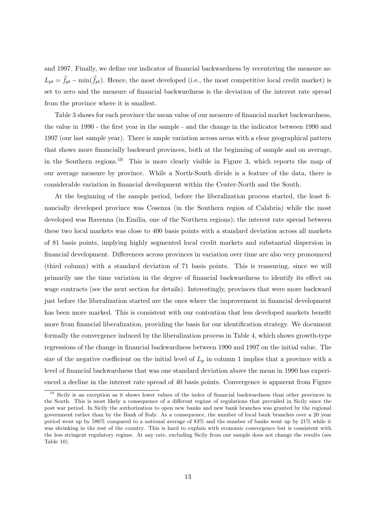and 1997. Finally, we define our indicator of financial backwardness by recentering the measure as:  $L_{pt} = f_{pt} - \min(f_{pt})$ . Hence, the most developed (i.e., the most competitive local credit market) is set to zero and the measure of financial backwardness is the deviation of the interest rate spread from the province where it is smallest.

Table 3 shows for each province the mean value of our measure of financial market backwardness, the value in 1990 - the first year in the sample - and the change in the indicator between 1990 and 1997 (our last sample year). There is ample variation across areas with a clear geographical pattern that shows more financially backward provinces, both at the beginning of sample and on average, in the Southern regions.<sup>10</sup> This is more clearly visible in Figure 3, which reports the map of our average measure by province. While a North-South divide is a feature of the data, there is considerable variation in financial development within the Center-North and the South.

At the beginning of the sample period, before the liberalization process started, the least financially developed province was Cosenza (in the Southern region of Calabria) while the most developed was Ravenna (in Emilia, one of the Northern regions); the interest rate spread between these two local markets was close to 400 basis points with a standard deviation across all markets of 81 basis points, implying highly segmented local credit markets and substantial dispersion in financial development. Differences across provinces in variation over time are also very pronounced (third column) with a standard deviation of 71 basis points. This is reassuring, since we will primarily use the time variation in the degree of financial backwardness to identify its effect on wage contracts (see the next section for details). Interestingly, provinces that were more backward just before the liberalization started are the ones where the improvement in financial development has been more marked. This is consistent with our contention that less developed markets benefit more from financial liberalization, providing the basis for our identification strategy. We document formally the convergence induced by the liberalization process in Table 4, which shows growth-type regressions of the change in financial backwardness between 1990 and 1997 on the initial value. The size of the negative coefficient on the initial level of  $L_p$  in column 1 implies that a province with a level of financial backwardness that was one standard deviation above the mean in 1990 has experienced a decline in the interest rate spread of 40 basis points. Convergence is apparent from Figure

<sup>&</sup>lt;sup>10</sup> Sicily is an exception as it shows lower values of the index of financial backwardness than other provinces in the South. This is most likely a consequence of a different regime of regulations that prevailed in Sicily since the post war period. In Sicily the authorization to open new banks and new bank branches was granted by the regional government rather than by the Bank of Italy. As a consequence, the number of local bank branches over a 20 year period went up by 586% compared to a national average of 83% and the number of banks went up by 21% while it was shrinking in the rest of the country. This is hard to explain with economic convergence but is consistent with the less stringent regulatory regime. At any rate, excluding Sicily from our sample does not change the results (see Table 10).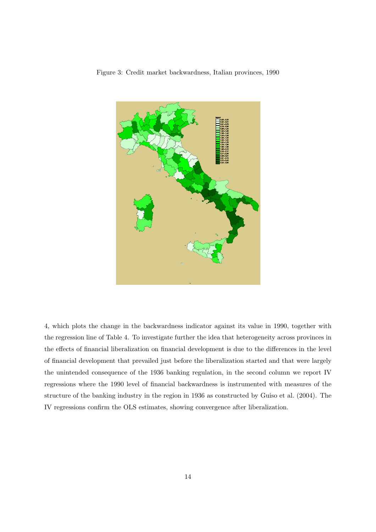



4, which plots the change in the backwardness indicator against its value in 1990, together with the regression line of Table 4. To investigate further the idea that heterogeneity across provinces in the effects of financial liberalization on financial development is due to the differences in the level of financial development that prevailed just before the liberalization started and that were largely the unintended consequence of the 1936 banking regulation, in the second column we report IV regressions where the 1990 level of financial backwardness is instrumented with measures of the structure of the banking industry in the region in 1936 as constructed by Guiso et al. (2004). The IV regressions confirm the OLS estimates, showing convergence after liberalization.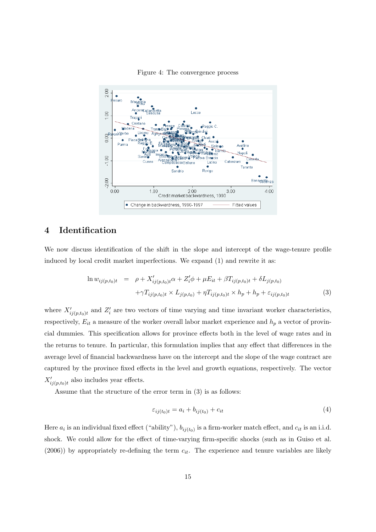

Figure 4: The convergence process

# **4 Identification**

We now discuss identification of the shift in the slope and intercept of the wage-tenure profile induced by local credit market imperfections. We expand (1) and rewrite it as:

$$
\ln w_{ij(p,t_0)t} = \rho + X'_{ij(p,t_0)t} \alpha + Z'_i \phi + \mu E_{it} + \beta T_{ij(p,t_0)t} + \delta L_{j(p,t_0)} + \gamma T_{ij(p,t_0)t} \times L_{j(p,t_0)} + \eta T_{ij(p,t_0)t} \times h_p + h_p + \varepsilon_{ij(p,t_0)t}
$$
\n(3)

where  $X'_{ij(p,t_0)t}$  and  $Z'_i$  are two vectors of time varying and time invariant worker characteristics, respectively,  $E_{it}$  a measure of the worker overall labor market experience and  $h_p$  a vector of provincial dummies. This specification allows for province effects both in the level of wage rates and in the returns to tenure. In particular, this formulation implies that any effect that differences in the average level of financial backwardness have on the intercept and the slope of the wage contract are captured by the province fixed effects in the level and growth equations, respectively. The vector  $X'_{ij(p,t_0)t}$  also includes year effects.

Assume that the structure of the error term in (3) is as follows:

$$
\varepsilon_{ij(t_0)t} = a_i + b_{ij(t_0)} + c_{it}
$$
\n<sup>(4)</sup>

Here  $a_i$  is an individual fixed effect ("ability"),  $b_{ij(t_0)}$  is a firm-worker match effect, and  $c_{it}$  is an i.i.d. shock. We could allow for the effect of time-varying firm-specific shocks (such as in Guiso et al.  $(2006)$ ) by appropriately re-defining the term  $c_{it}$ . The experience and tenure variables are likely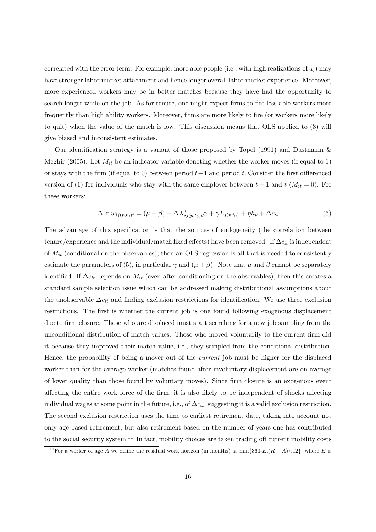correlated with the error term. For example, more able people (i.e., with high realizations of  $a_i$ ) may have stronger labor market attachment and hence longer overall labor market experience. Moreover, more experienced workers may be in better matches because they have had the opportunity to search longer while on the job. As for tenure, one might expect firms to fire less able workers more frequently than high ability workers. Moreover, firms are more likely to fire (or workers more likely to quit) when the value of the match is low. This discussion means that OLS applied to (3) will give biased and inconsistent estimates.

Our identification strategy is a variant of those proposed by Topel (1991) and Dustmann & Meghir (2005). Let  $M_{it}$  be an indicator variable denoting whether the worker moves (if equal to 1) or stays with the firm (if equal to 0) between period  $t-1$  and period t. Consider the first differenced version of (1) for individuals who stay with the same employer between  $t - 1$  and  $t$  ( $M_{it} = 0$ ). For these workers:

$$
\Delta \ln w_{ij(p,t_0)t} = (\mu + \beta) + \Delta X'_{ij(p,t_0)t} \alpha + \gamma L_{j(p,t_0)} + \eta h_p + \Delta c_{it}
$$
\n(5)

The advantage of this specification is that the sources of endogeneity (the correlation between tenure/experience and the individual/match fixed effects) have been removed. If  $\Delta c_{it}$  is independent of  $M_{it}$  (conditional on the observables), then an OLS regression is all that is needed to consistently estimate the parameters of (5), in particular  $\gamma$  and  $(\mu + \beta)$ . Note that  $\mu$  and  $\beta$  cannot be separately identified. If  $\Delta c_{it}$  depends on  $M_{it}$  (even after conditioning on the observables), then this creates a standard sample selection issue which can be addressed making distributional assumptions about the unobservable  $\Delta c_{it}$  and finding exclusion restrictions for identification. We use three exclusion restrictions. The first is whether the current job is one found following exogenous displacement due to firm closure. Those who are displaced must start searching for a new job sampling from the unconditional distribution of match values. Those who moved voluntarily to the current firm did it because they improved their match value, i.e., they sampled from the conditional distribution. Hence, the probability of being a mover out of the current job must be higher for the displaced worker than for the average worker (matches found after involuntary displacement are on average of lower quality than those found by voluntary moves). Since firm closure is an exogenous event affecting the entire work force of the firm, it is also likely to be independent of shocks affecting individual wages at some point in the future, i.e., of  $\Delta c_{it}$ , suggesting it is a valid exclusion restriction. The second exclusion restriction uses the time to earliest retirement date, taking into account not only age-based retirement, but also retirement based on the number of years one has contributed to the social security system.<sup>11</sup> In fact, mobility choices are taken trading off current mobility costs

<sup>&</sup>lt;sup>11</sup>For a worker of age A we define the residual work horizon (in months) as min $\{360-E,(R-A)\times12\}$ , where E is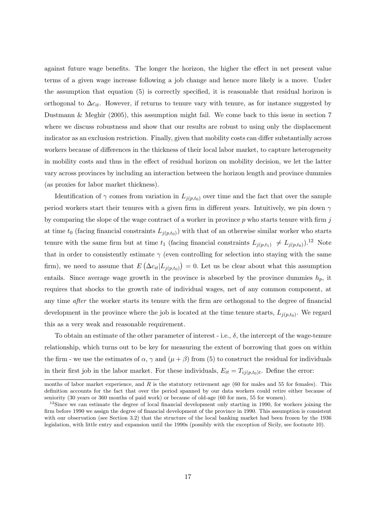against future wage benefits. The longer the horizon, the higher the effect in net present value terms of a given wage increase following a job change and hence more likely is a move. Under the assumption that equation (5) is correctly specified, it is reasonable that residual horizon is orthogonal to  $\Delta c_{it}$ . However, if returns to tenure vary with tenure, as for instance suggested by Dustmann & Meghir (2005), this assumption might fail. We come back to this issue in section 7 where we discuss robustness and show that our results are robust to using only the displacement indicator as an exclusion restriction. Finally, given that mobility costs can differ substantially across workers because of differences in the thickness of their local labor market, to capture heterogeneity in mobility costs and thus in the effect of residual horizon on mobility decision, we let the latter vary across provinces by including an interaction between the horizon length and province dummies (as proxies for labor market thickness).

Identification of  $\gamma$  comes from variation in  $L_{i(p,t_0)}$  over time and the fact that over the sample period workers start their tenures with a given firm in different years. Intuitively, we pin down  $\gamma$ by comparing the slope of the wage contract of a worker in province  $p$  who starts tenure with firm  $j$ at time  $t_0$  (facing financial constraints  $L_{j(p,t_0)}$ ) with that of an otherwise similar worker who starts tenure with the same firm but at time  $t_1$  (facing financial constraints  $L_{j(p,t_1)} \neq L_{j(p,t_0)}$ ).<sup>12</sup> Note that in order to consistently estimate  $\gamma$  (even controlling for selection into staying with the same firm), we need to assume that  $E\left(\Delta c_{it}|L_{j(p,t_0)}\right) = 0$ . Let us be clear about what this assumption entails. Since average wage growth in the province is absorbed by the province dummies  $h_p$ , it requires that shocks to the growth rate of individual wages, net of any common component, at any time after the worker starts its tenure with the firm are orthogonal to the degree of financial development in the province where the job is located at the time tenure starts,  $L_{j(p,t_0)}$ . We regard this as a very weak and reasonable requirement.

To obtain an estimate of the other parameter of interest - i.e.,  $\delta$ , the intercept of the wage-tenure relationship, which turns out to be key for measuring the extent of borrowing that goes on within the firm - we use the estimates of  $\alpha$ ,  $\gamma$  and  $(\mu + \beta)$  from (5) to construct the residual for individuals in their first job in the labor market. For these individuals,  $E_{it} = T_{ij(p,t_0)t}$ . Define the error:

months of labor market experience, and  $R$  is the statutory retirement age (60 for males and 55 for females). This definition accounts for the fact that over the period spanned by our data workers could retire either because of seniority (30 years or 360 months of paid work) or because of old-age (60 for men, 55 for women).

 $12$ Since we can estimate the degree of local financial development only starting in 1990, for workers joining the firm before 1990 we assign the degree of financial development of the province in 1990. This assumption is consistent with our observation (see Section 3.2) that the structure of the local banking market had been frozen by the 1936 legislation, with little entry and expansion until the 1990s (possibly with the exception of Sicily, see footnote 10).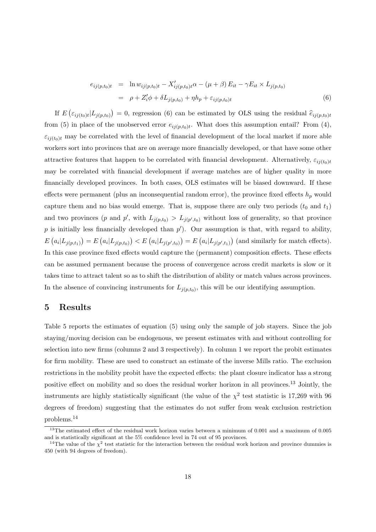$$
e_{ij(p,t_0)t} = \ln w_{ij(p,t_0)t} - X'_{ij(p,t_0)t} \alpha - (\mu + \beta) E_{it} - \gamma E_{it} \times L_{j(p,t_0)}
$$
  
=  $\rho + Z'_i \phi + \delta L_{j(p,t_0)} + \eta h_p + \varepsilon_{ij(p,t_0)t}$  (6)

If  $E\left(\varepsilon_{ij(t_0)t}|L_{j(p,t_0)}\right) = 0$ , regression (6) can be estimated by OLS using the residual  $\hat{e}_{ij(p,t_0)t}$ from (5) in place of the unobserved error  $e_{ij(p,t_0)t}$ . What does this assumption entail? From (4),  $\varepsilon_{i j(t_0) t}$  may be correlated with the level of financial development of the local market if more able workers sort into provinces that are on average more financially developed, or that have some other attractive features that happen to be correlated with financial development. Alternatively,  $\varepsilon_{i j(t_0) t}$ may be correlated with financial development if average matches are of higher quality in more financially developed provinces. In both cases, OLS estimates will be biased downward. If these effects were permanent (plus an inconsequential random error), the province fixed effects  $h_p$  would capture them and no bias would emerge. That is, suppose there are only two periods  $(t_0 \text{ and } t_1)$ and two provinces (p and p', with  $L_{j(p,t_0)} > L_{j(p',t_0)}$  without loss of generality, so that province p is initially less financially developed than  $p'$ ). Our assumption is that, with regard to ability,  $E(g_i|L_{j(p,t_1)}) = E(g_i|L_{j(p,t_0)}) < E(g_i|L_{j(p',t_0)}) = E(g_i|L_{j(p',t_1)})$  (and similarly for match effects). In this case province fixed effects would capture the (permanent) composition effects. These effects can be assumed permanent because the process of convergence across credit markets is slow or it takes time to attract talent so as to shift the distribution of ability or match values across provinces. In the absence of convincing instruments for  $L_{i(p,t_0)}$ , this will be our identifying assumption.

# **5 Results**

Table 5 reports the estimates of equation (5) using only the sample of job stayers. Since the job staying/moving decision can be endogenous, we present estimates with and without controlling for selection into new firms (columns 2 and 3 respectively). In column 1 we report the probit estimates for firm mobility. These are used to construct an estimate of the inverse Mills ratio. The exclusion restrictions in the mobility probit have the expected effects: the plant closure indicator has a strong positive effect on mobility and so does the residual worker horizon in all provinces.<sup>13</sup> Jointly, the instruments are highly statistically significant (the value of the  $\chi^2$  test statistic is 17,269 with 96 degrees of freedom) suggesting that the estimates do not suffer from weak exclusion restriction problems.<sup>14</sup>

<sup>&</sup>lt;sup>13</sup>The estimated effect of the residual work horizon varies between a minimum of 0.001 and a maximum of 0.005 and is statistically significant at the 5% confidence level in 74 out of 95 provinces.

<sup>&</sup>lt;sup>14</sup>The value of the  $\chi^2$  test statistic for the interaction between the residual work horizon and province dummies is 450 (with 94 degrees of freedom).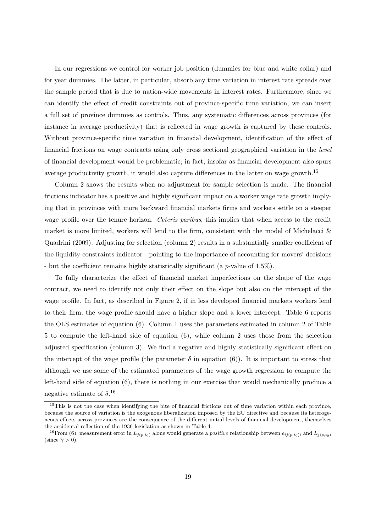In our regressions we control for worker job position (dummies for blue and white collar) and for year dummies. The latter, in particular, absorb any time variation in interest rate spreads over the sample period that is due to nation-wide movements in interest rates. Furthermore, since we can identify the effect of credit constraints out of province-specific time variation, we can insert a full set of province dummies as controls. Thus, any systematic differences across provinces (for instance in average productivity) that is reflected in wage growth is captured by these controls. Without province-specific time variation in financial development, identification of the effect of financial frictions on wage contracts using only cross sectional geographical variation in the level of financial development would be problematic; in fact, insofar as financial development also spurs average productivity growth, it would also capture differences in the latter on wage growth.<sup>15</sup>

Column 2 shows the results when no adjustment for sample selection is made. The financial frictions indicator has a positive and highly significant impact on a worker wage rate growth implying that in provinces with more backward financial markets firms and workers settle on a steeper wage profile over the tenure horizon. Ceteris paribus, this implies that when access to the credit market is more limited, workers will lend to the firm, consistent with the model of Michelacci  $\&$ Quadrini (2009). Adjusting for selection (column 2) results in a substantially smaller coefficient of the liquidity constraints indicator - pointing to the importance of accounting for movers' decisions - but the coefficient remains highly statistically significant (a p-value of 1.5%).

To fully characterize the effect of financial market imperfections on the shape of the wage contract, we need to identify not only their effect on the slope but also on the intercept of the wage profile. In fact, as described in Figure 2, if in less developed financial markets workers lend to their firm, the wage profile should have a higher slope and a lower intercept. Table 6 reports the OLS estimates of equation (6). Column 1 uses the parameters estimated in column 2 of Table 5 to compute the left-hand side of equation (6), while column 2 uses those from the selection adjusted specification (column 3). We find a negative and highly statistically significant effect on the intercept of the wage profile (the parameter  $\delta$  in equation (6)). It is important to stress that although we use some of the estimated parameters of the wage growth regression to compute the left-hand side of equation (6), there is nothing in our exercise that would mechanically produce a negative estimate of  $\delta$ .<sup>16</sup>

<sup>&</sup>lt;sup>15</sup>This is not the case when identifying the bite of financial frictions out of time variation within each province, because the source of variation is the exogenous liberalization imposed by the EU directive and because its heterogeneous effects across provinces are the consequence of the different initial levels of financial development, themselves the accidental reflection of the 1936 legislation as shown in Table 4.

<sup>&</sup>lt;sup>16</sup>From (6), measurement error in  $L_{j(p,t_0)}$  alone would generate a *positive* relationship between  $e_{ij(p,t_0)t}$  and  $L_{j(p,t_0)}$ (since  $\hat{\gamma} > 0$ ).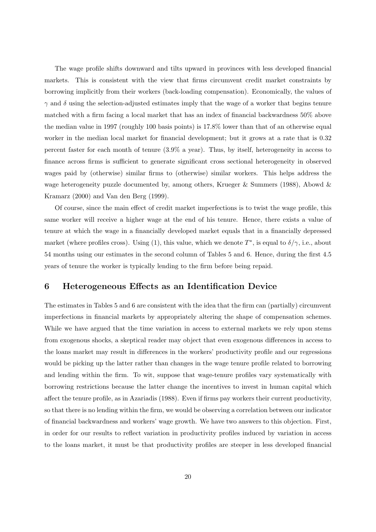The wage profile shifts downward and tilts upward in provinces with less developed financial markets. This is consistent with the view that firms circumvent credit market constraints by borrowing implicitly from their workers (back-loading compensation). Economically, the values of  $\gamma$  and  $\delta$  using the selection-adjusted estimates imply that the wage of a worker that begins tenure matched with a firm facing a local market that has an index of financial backwardness 50% above the median value in 1997 (roughly 100 basis points) is 17.8% lower than that of an otherwise equal worker in the median local market for financial development; but it grows at a rate that is 0.32 percent faster for each month of tenure (3.9% a year). Thus, by itself, heterogeneity in access to finance across firms is sufficient to generate significant cross sectional heterogeneity in observed wages paid by (otherwise) similar firms to (otherwise) similar workers. This helps address the wage heterogeneity puzzle documented by, among others, Krueger & Summers (1988), Abowd & Kramarz (2000) and Van den Berg (1999).

Of course, since the main effect of credit market imperfections is to twist the wage profile, this same worker will receive a higher wage at the end of his tenure. Hence, there exists a value of tenure at which the wage in a financially developed market equals that in a financially depressed market (where profiles cross). Using (1), this value, which we denote  $T^*$ , is equal to  $\delta/\gamma$ , i.e., about 54 months using our estimates in the second column of Tables 5 and 6. Hence, during the first 4.5 years of tenure the worker is typically lending to the firm before being repaid.

# **6 Heterogeneous Effects as an Identification Device**

The estimates in Tables 5 and 6 are consistent with the idea that the firm can (partially) circumvent imperfections in financial markets by appropriately altering the shape of compensation schemes. While we have argued that the time variation in access to external markets we rely upon stems from exogenous shocks, a skeptical reader may object that even exogenous differences in access to the loans market may result in differences in the workers' productivity profile and our regressions would be picking up the latter rather than changes in the wage tenure profile related to borrowing and lending within the firm. To wit, suppose that wage-tenure profiles vary systematically with borrowing restrictions because the latter change the incentives to invest in human capital which affect the tenure profile, as in Azariadis (1988). Even if firms pay workers their current productivity, so that there is no lending within the firm, we would be observing a correlation between our indicator of financial backwardness and workers' wage growth. We have two answers to this objection. First, in order for our results to reflect variation in productivity profiles induced by variation in access to the loans market, it must be that productivity profiles are steeper in less developed financial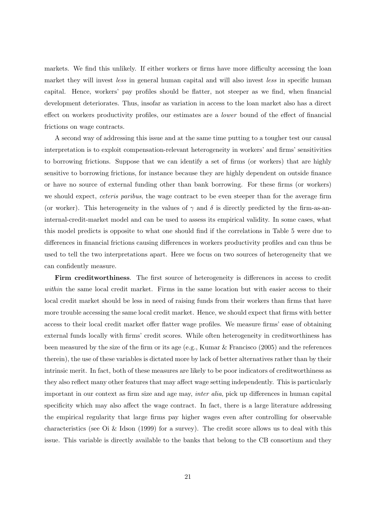markets. We find this unlikely. If either workers or firms have more difficulty accessing the loan market they will invest less in general human capital and will also invest less in specific human capital. Hence, workers' pay profiles should be flatter, not steeper as we find, when financial development deteriorates. Thus, insofar as variation in access to the loan market also has a direct effect on workers productivity profiles, our estimates are a lower bound of the effect of financial frictions on wage contracts.

A second way of addressing this issue and at the same time putting to a tougher test our causal interpretation is to exploit compensation-relevant heterogeneity in workers' and firms' sensitivities to borrowing frictions. Suppose that we can identify a set of firms (or workers) that are highly sensitive to borrowing frictions, for instance because they are highly dependent on outside finance or have no source of external funding other than bank borrowing. For these firms (or workers) we should expect, *ceteris paribus*, the wage contract to be even steeper than for the average firm (or worker). This heterogeneity in the values of  $\gamma$  and  $\delta$  is directly predicted by the firm-as-aninternal-credit-market model and can be used to assess its empirical validity. In some cases, what this model predicts is opposite to what one should find if the correlations in Table 5 were due to differences in financial frictions causing differences in workers productivity profiles and can thus be used to tell the two interpretations apart. Here we focus on two sources of heterogeneity that we can confidently measure.

**Firm creditworthiness**. The first source of heterogeneity is differences in access to credit within the same local credit market. Firms in the same location but with easier access to their local credit market should be less in need of raising funds from their workers than firms that have more trouble accessing the same local credit market. Hence, we should expect that firms with better access to their local credit market offer flatter wage profiles. We measure firms' ease of obtaining external funds locally with firms' credit scores. While often heterogeneity in creditworthiness has been measured by the size of the firm or its age (e.g., Kumar & Francisco (2005) and the references therein), the use of these variables is dictated more by lack of better alternatives rather than by their intrinsic merit. In fact, both of these measures are likely to be poor indicators of creditworthiness as they also reflect many other features that may affect wage setting independently. This is particularly important in our context as firm size and age may, inter alia, pick up differences in human capital specificity which may also affect the wage contract. In fact, there is a large literature addressing the empirical regularity that large firms pay higher wages even after controlling for observable characteristics (see Oi & Idson (1999) for a survey). The credit score allows us to deal with this issue. This variable is directly available to the banks that belong to the CB consortium and they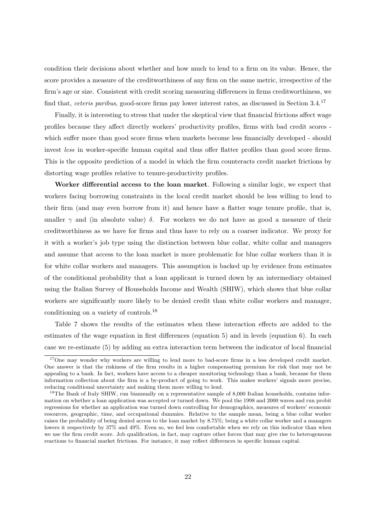condition their decisions about whether and how much to lend to a firm on its value. Hence, the score provides a measure of the creditworthiness of any firm on the same metric, irrespective of the firm's age or size. Consistent with credit scoring measuring differences in firms creditworthiness, we find that, *ceteris paribus*, good-score firms pay lower interest rates, as discussed in Section 3.4.<sup>17</sup>

Finally, it is interesting to stress that under the skeptical view that financial frictions affect wage profiles because they affect directly workers' productivity profiles, firms with bad credit scores which suffer more than good score firms when markets become less financially developed - should invest less in worker-specific human capital and thus offer flatter profiles than good score firms. This is the opposite prediction of a model in which the firm counteracts credit market frictions by distorting wage profiles relative to tenure-productivity profiles.

**Worker differential access to the loan market**. Following a similar logic, we expect that workers facing borrowing constraints in the local credit market should be less willing to lend to their firm (and may even borrow from it) and hence have a flatter wage tenure profile, that is, smaller  $\gamma$  and (in absolute value)  $\delta$ . For workers we do not have as good a measure of their creditworthiness as we have for firms and thus have to rely on a coarser indicator. We proxy for it with a worker's job type using the distinction between blue collar, white collar and managers and assume that access to the loan market is more problematic for blue collar workers than it is for white collar workers and managers. This assumption is backed up by evidence from estimates of the conditional probability that a loan applicant is turned down by an intermediary obtained using the Italian Survey of Households Income and Wealth (SHIW), which shows that blue collar workers are significantly more likely to be denied credit than white collar workers and manager, conditioning on a variety of controls.<sup>18</sup>

Table 7 shows the results of the estimates when these interaction effects are added to the estimates of the wage equation in first differences (equation 5) and in levels (equation 6). In each case we re-estimate (5) by adding an extra interaction term between the indicator of local financial

<sup>&</sup>lt;sup>17</sup>One may wonder why workers are willing to lend more to bad-score firms in a less developed credit market. One answer is that the riskiness of the firm results in a higher compensating premium for risk that may not be appealing to a bank. In fact, workers have access to a cheaper monitoring technology than a bank, because for them information collection about the firm is a by-product of going to work. This makes workers' signals more precise, reducing conditional uncertainty and making them more willing to lend.

 $18$ The Bank of Italy SHIW, run biannually on a representative sample of 8,000 Italian households, contains information on whether a loan application was accepted or turned down. We pool the 1998 and 2000 waves and run probit regressions for whether an application was turned down controlling for demographics, measures of workers' economic resources, geographic, time, and occupational dummies. Relative to the sample mean, being a blue collar worker raises the probability of being denied access to the loan market by 8.75%; being a white collar worker and a managers lowers it respectively by 37% and 49%. Even so, we feel less comfortable when we rely on this indicator than when we use the firm credit score. Job qualification, in fact, may capture other forces that may give rise to heterogeneous reactions to financial market frictions. For instance, it may reflect differences in specific human capital.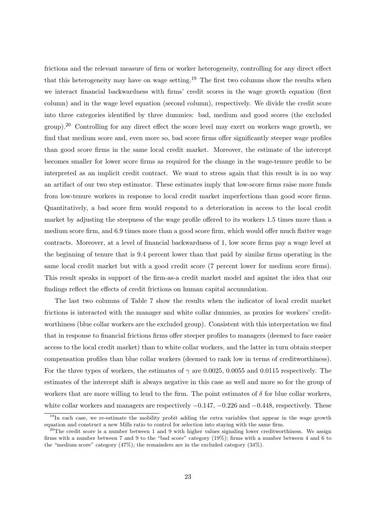frictions and the relevant measure of firm or worker heterogeneity, controlling for any direct effect that this heterogeneity may have on wage setting.<sup>19</sup> The first two columns show the results when we interact financial backwardness with firms' credit scores in the wage growth equation (first column) and in the wage level equation (second column), respectively. We divide the credit score into three categories identified by three dummies: bad, medium and good scores (the excluded  $\gamma$  Controlling for any direct effect the score level may exert on workers wage growth, we find that medium score and, even more so, bad score firms offer significantly steeper wage profiles than good score firms in the same local credit market. Moreover, the estimate of the intercept becomes smaller for lower score firms as required for the change in the wage-tenure profile to be interpreted as an implicit credit contract. We want to stress again that this result is in no way an artifact of our two step estimator. These estimates imply that low-score firms raise more funds from low-tenure workers in response to local credit market imperfections than good score firms. Quantitatively, a bad score firm would respond to a deterioration in access to the local credit market by adjusting the steepness of the wage profile offered to its workers 1.5 times more than a medium score firm, and 6.9 times more than a good score firm, which would offer much flatter wage contracts. Moreover, at a level of financial backwardness of 1, low score firms pay a wage level at the beginning of tenure that is 9.4 percent lower than that paid by similar firms operating in the same local credit market but with a good credit score (7 percent lower for medium score firms). This result speaks in support of the firm-as-a credit market model and against the idea that our findings reflect the effects of credit frictions on human capital accumulation.

The last two columns of Table 7 show the results when the indicator of local credit market frictions is interacted with the manager and white collar dummies, as proxies for workers' creditworthiness (blue collar workers are the excluded group). Consistent with this interpretation we find that in response to financial frictions firms offer steeper profiles to managers (deemed to face easier access to the local credit market) than to white collar workers, and the latter in turn obtain steeper compensation profiles than blue collar workers (deemed to rank low in terms of creditworthiness). For the three types of workers, the estimates of  $\gamma$  are 0.0025, 0.0055 and 0.0115 respectively. The estimates of the intercept shift is always negative in this case as well and more so for the group of workers that are more willing to lend to the firm. The point estimates of  $\delta$  for blue collar workers, white collar workers and managers are respectively  $-0.147, -0.226$  and  $-0.448$ , respectively. These

<sup>&</sup>lt;sup>19</sup>In each case, we re-estimate the mobility probit adding the extra variables that appear in the wage growth equation and construct a new Mills ratio to control for selection into staying with the same firm.

<sup>&</sup>lt;sup>20</sup>The credit score is a number between 1 and 9 with higher values signaling lower creditworthiness. We assign firms with a number between 7 and 9 to the "bad score" category (19%); firms with a number between 4 and 6 to the "medium score" category (47%); the remainders are in the excluded category (34%).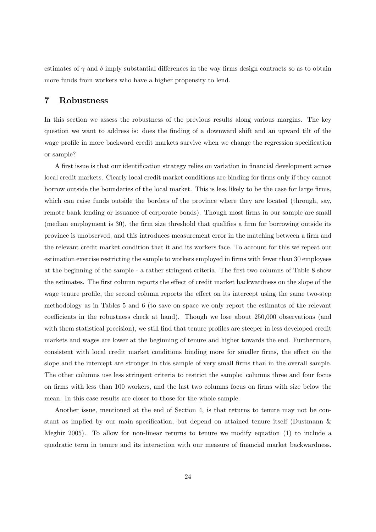estimates of  $\gamma$  and  $\delta$  imply substantial differences in the way firms design contracts so as to obtain more funds from workers who have a higher propensity to lend.

# **7 Robustness**

In this section we assess the robustness of the previous results along various margins. The key question we want to address is: does the finding of a downward shift and an upward tilt of the wage profile in more backward credit markets survive when we change the regression specification or sample?

A first issue is that our identification strategy relies on variation in financial development across local credit markets. Clearly local credit market conditions are binding for firms only if they cannot borrow outside the boundaries of the local market. This is less likely to be the case for large firms, which can raise funds outside the borders of the province where they are located (through, say, remote bank lending or issuance of corporate bonds). Though most firms in our sample are small (median employment is 30), the firm size threshold that qualifies a firm for borrowing outside its province is unobserved, and this introduces measurement error in the matching between a firm and the relevant credit market condition that it and its workers face. To account for this we repeat our estimation exercise restricting the sample to workers employed in firms with fewer than 30 employees at the beginning of the sample - a rather stringent criteria. The first two columns of Table 8 show the estimates. The first column reports the effect of credit market backwardness on the slope of the wage tenure profile, the second column reports the effect on its intercept using the same two-step methodology as in Tables 5 and 6 (to save on space we only report the estimates of the relevant coefficients in the robustness check at hand). Though we lose about 250,000 observations (and with them statistical precision), we still find that tenure profiles are steeper in less developed credit markets and wages are lower at the beginning of tenure and higher towards the end. Furthermore, consistent with local credit market conditions binding more for smaller firms, the effect on the slope and the intercept are stronger in this sample of very small firms than in the overall sample. The other columns use less stringent criteria to restrict the sample: columns three and four focus on firms with less than 100 workers, and the last two columns focus on firms with size below the mean. In this case results are closer to those for the whole sample.

Another issue, mentioned at the end of Section 4, is that returns to tenure may not be constant as implied by our main specification, but depend on attained tenure itself (Dustmann & Meghir 2005). To allow for non-linear returns to tenure we modify equation (1) to include a quadratic term in tenure and its interaction with our measure of financial market backwardness.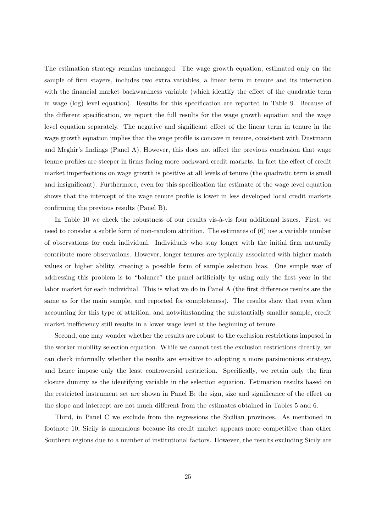The estimation strategy remains unchanged. The wage growth equation, estimated only on the sample of firm stayers, includes two extra variables, a linear term in tenure and its interaction with the financial market backwardness variable (which identify the effect of the quadratic term in wage (log) level equation). Results for this specification are reported in Table 9. Because of the different specification, we report the full results for the wage growth equation and the wage level equation separately. The negative and significant effect of the linear term in tenure in the wage growth equation implies that the wage profile is concave in tenure, consistent with Dustmann and Meghir's findings (Panel A). However, this does not affect the previous conclusion that wage tenure profiles are steeper in firms facing more backward credit markets. In fact the effect of credit market imperfections on wage growth is positive at all levels of tenure (the quadratic term is small and insignificant). Furthermore, even for this specification the estimate of the wage level equation shows that the intercept of the wage tenure profile is lower in less developed local credit markets confirming the previous results (Panel B).

In Table 10 we check the robustness of our results vis- $\grave{a}$ -vis four additional issues. First, we need to consider a subtle form of non-random attrition. The estimates of (6) use a variable number of observations for each individual. Individuals who stay longer with the initial firm naturally contribute more observations. However, longer tenures are typically associated with higher match values or higher ability, creating a possible form of sample selection bias. One simple way of addressing this problem is to "balance" the panel artificially by using only the first year in the labor market for each individual. This is what we do in Panel A (the first difference results are the same as for the main sample, and reported for completeness). The results show that even when accounting for this type of attrition, and notwithstanding the substantially smaller sample, credit market inefficiency still results in a lower wage level at the beginning of tenure.

Second, one may wonder whether the results are robust to the exclusion restrictions imposed in the worker mobility selection equation. While we cannot test the exclusion restrictions directly, we can check informally whether the results are sensitive to adopting a more parsimonious strategy, and hence impose only the least controversial restriction. Specifically, we retain only the firm closure dummy as the identifying variable in the selection equation. Estimation results based on the restricted instrument set are shown in Panel B; the sign, size and significance of the effect on the slope and intercept are not much different from the estimates obtained in Tables 5 and 6.

Third, in Panel C we exclude from the regressions the Sicilian provinces. As mentioned in footnote 10, Sicily is anomalous because its credit market appears more competitive than other Southern regions due to a number of institutional factors. However, the results excluding Sicily are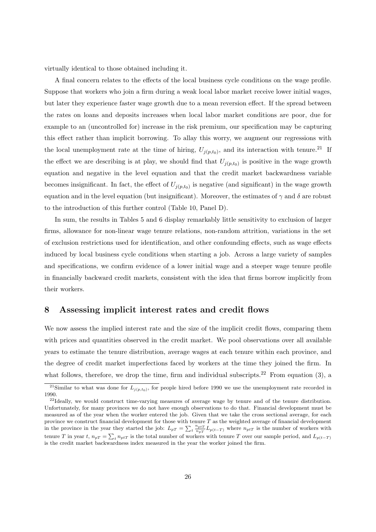virtually identical to those obtained including it.

A final concern relates to the effects of the local business cycle conditions on the wage profile. Suppose that workers who join a firm during a weak local labor market receive lower initial wages, but later they experience faster wage growth due to a mean reversion effect. If the spread between the rates on loans and deposits increases when local labor market conditions are poor, due for example to an (uncontrolled for) increase in the risk premium, our specification may be capturing this effect rather than implicit borrowing. To allay this worry, we augment our regressions with the local unemployment rate at the time of hiring,  $U_{j(p,t_0)}$ , and its interaction with tenure.<sup>21</sup> If the effect we are describing is at play, we should find that  $U_{i(p,t_0)}$  is positive in the wage growth equation and negative in the level equation and that the credit market backwardness variable becomes insignificant. In fact, the effect of  $U_{j(p,t_0)}$  is negative (and significant) in the wage growth equation and in the level equation (but insignificant). Moreover, the estimates of  $\gamma$  and  $\delta$  are robust to the introduction of this further control (Table 10, Panel D).

In sum, the results in Tables 5 and 6 display remarkably little sensitivity to exclusion of larger firms, allowance for non-linear wage tenure relations, non-random attrition, variations in the set of exclusion restrictions used for identification, and other confounding effects, such as wage effects induced by local business cycle conditions when starting a job. Across a large variety of samples and specifications, we confirm evidence of a lower initial wage and a steeper wage tenure profile in financially backward credit markets, consistent with the idea that firms borrow implicitly from their workers.

#### **8 Assessing implicit interest rates and credit flows**

We now assess the implied interest rate and the size of the implicit credit flows, comparing them with prices and quantities observed in the credit market. We pool observations over all available years to estimate the tenure distribution, average wages at each tenure within each province, and the degree of credit market imperfections faced by workers at the time they joined the firm. In what follows, therefore, we drop the time, firm and individual subscripts.<sup>22</sup> From equation (3), a

<sup>&</sup>lt;sup>21</sup>Similar to what was done for  $L_{j(p,t_0)}$ , for people hired before 1990 we use the unemployment rate recorded in 1990.

<sup>&</sup>lt;sup>22</sup>Ideally, we would construct time-varying measures of average wage by tenure and of the tenure distribution. Unfortunately, for many provinces we do not have enough observations to do that. Financial development must be measured as of the year when the worker entered the job. Given that we take the cross sectional average, for each province we construct financial development for those with tenure  $T$  as the weighted average of financial development in the province in the year they started the job:  $L_{pT} = \sum_{t} \frac{n_{pT}}{n_{pT}} L_{p(t-T)}$  where  $n_{pT}$  is the number of workers with tenure T in year t,  $n_{pT} = \sum_t n_{pT}$  is the total number of workers with tenure T over our sample period, and  $L_{p(t-T)}$ is the credit market backwardness index measured in the year the worker joined the firm.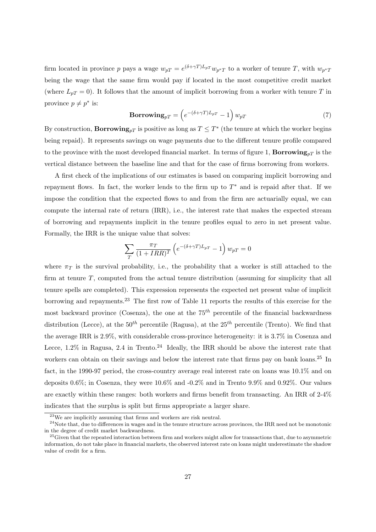firm located in province p pays a wage  $w_{pT} = e^{(\delta + \gamma T)L_{pT}} w_{p^*T}$  to a worker of tenure T, with  $w_{p^*T}$ being the wage that the same firm would pay if located in the most competitive credit market (where  $L_{pT} = 0$ ). It follows that the amount of implicit borrowing from a worker with tenure T in province  $p \neq p^*$  is:

$$
\mathbf{Borrowing}_{pT} = \left(e^{-(\delta + \gamma T)L_{pT}} - 1\right)w_{pT} \tag{7}
$$

By construction, **Borrowing**<sub>pT</sub> is positive as long as  $T \leq T^*$  (the tenure at which the worker begins being repaid). It represents savings on wage payments due to the different tenure profile compared to the province with the most developed financial market. In terms of figure 1, **Borrowing**<sub>pT</sub> is the vertical distance between the baseline line and that for the case of firms borrowing from workers.

A first check of the implications of our estimates is based on comparing implicit borrowing and repayment flows. In fact, the worker lends to the firm up to  $T^*$  and is repaid after that. If we impose the condition that the expected flows to and from the firm are actuarially equal, we can compute the internal rate of return (IRR), i.e., the interest rate that makes the expected stream of borrowing and repayments implicit in the tenure profiles equal to zero in net present value. Formally, the IRR is the unique value that solves:

$$
\sum_{T} \frac{\pi_T}{(1 + IRR)^T} \left( e^{-(\delta + \gamma T)L_{pT}} - 1 \right) w_{pT} = 0
$$

where  $\pi$  is the survival probability, i.e., the probability that a worker is still attached to the firm at tenure  $T$ , computed from the actual tenure distribution (assuming for simplicity that all tenure spells are completed). This expression represents the expected net present value of implicit borrowing and repayments.<sup>23</sup> The first row of Table 11 reports the results of this exercise for the most backward province (Cosenza), the one at the  $75<sup>th</sup>$  percentile of the financial backwardness distribution (Lecce), at the  $50^{th}$  percentile (Ragusa), at the  $25^{th}$  percentile (Trento). We find that the average IRR is 2.9%, with considerable cross-province heterogeneity: it is 3.7% in Cosenza and Lecce,  $1.2\%$  in Ragusa, 2.4 in Trento.<sup>24</sup> Ideally, the IRR should be above the interest rate that workers can obtain on their savings and below the interest rate that firms pay on bank loans.<sup>25</sup> In fact, in the 1990-97 period, the cross-country average real interest rate on loans was 10.1% and on deposits 0.6%; in Cosenza, they were 10.6% and -0.2% and in Trento 9.9% and 0.92%. Our values are exactly within these ranges: both workers and firms benefit from transacting. An IRR of 2-4% indicates that the surplus is split but firms appropriate a larger share.

<sup>23</sup>We are implicitly assuming that firms and workers are risk neutral.

 $^{24}$ Note that, due to differences in wages and in the tenure structure across provinces, the IRR need not be monotonic in the degree of credit market backwardness.

 $^{25}$ Given that the repeated interaction between firm and workers might allow for transactions that, due to asymmetric information, do not take place in financial markets, the observed interest rate on loans might underestimate the shadow value of credit for a firm.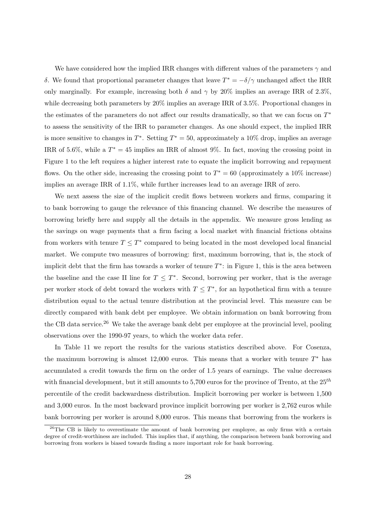We have considered how the implied IRR changes with different values of the parameters  $\gamma$  and δ. We found that proportional parameter changes that leave  $T^* = -\delta/\gamma$  unchanged affect the IRR only marginally. For example, increasing both  $\delta$  and  $\gamma$  by 20% implies an average IRR of 2.3%, while decreasing both parameters by 20% implies an average IRR of 3.5%. Proportional changes in the estimates of the parameters do not affect our results dramatically, so that we can focus on  $T^*$ to assess the sensitivity of the IRR to parameter changes. As one should expect, the implied IRR is more sensitive to changes in  $T^*$ . Setting  $T^* = 50$ , approximately a 10% drop, implies an average IRR of 5.6%, while a  $T^* = 45$  implies an IRR of almost 9%. In fact, moving the crossing point in Figure 1 to the left requires a higher interest rate to equate the implicit borrowing and repayment flows. On the other side, increasing the crossing point to  $T^* = 60$  (approximately a 10% increase) implies an average IRR of 1.1%, while further increases lead to an average IRR of zero.

We next assess the size of the implicit credit flows between workers and firms, comparing it to bank borrowing to gauge the relevance of this financing channel. We describe the measures of borrowing briefly here and supply all the details in the appendix. We measure gross lending as the savings on wage payments that a firm facing a local market with financial frictions obtains from workers with tenure  $T \leq T^*$  compared to being located in the most developed local financial market. We compute two measures of borrowing: first, maximum borrowing, that is, the stock of implicit debt that the firm has towards a worker of tenure  $T^*$ : in Figure 1, this is the area between the baseline and the case II line for  $T \leq T^*$ . Second, borrowing per worker, that is the average per worker stock of debt toward the workers with  $T \leq T^*$ , for an hypothetical firm with a tenure distribution equal to the actual tenure distribution at the provincial level. This measure can be directly compared with bank debt per employee. We obtain information on bank borrowing from the CB data service.<sup>26</sup> We take the average bank debt per employee at the provincial level, pooling observations over the 1990-97 years, to which the worker data refer.

In Table 11 we report the results for the various statistics described above. For Cosenza, the maximum borrowing is almost 12,000 euros. This means that a worker with tenure  $T^*$  has accumulated a credit towards the firm on the order of 1.5 years of earnings. The value decreases with financial development, but it still amounts to 5,700 euros for the province of Trento, at the  $25^{th}$ percentile of the credit backwardness distribution. Implicit borrowing per worker is between 1,500 and 3,000 euros. In the most backward province implicit borrowing per worker is 2,762 euros while bank borrowing per worker is around 8,000 euros. This means that borrowing from the workers is

<sup>&</sup>lt;sup>26</sup>The CB is likely to overestimate the amount of bank borrowing per employee, as only firms with a certain degree of credit-worthiness are included. This implies that, if anything, the comparison between bank borrowing and borrowing from workers is biased towards finding a more important role for bank borrowing.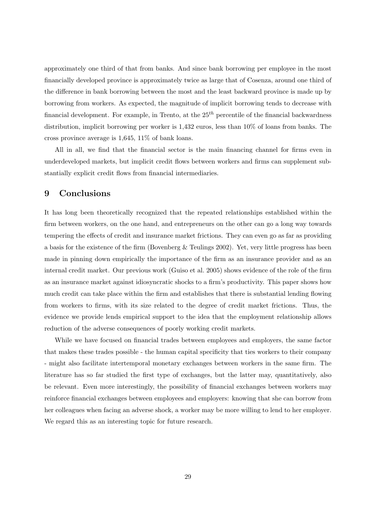approximately one third of that from banks. And since bank borrowing per employee in the most financially developed province is approximately twice as large that of Cosenza, around one third of the difference in bank borrowing between the most and the least backward province is made up by borrowing from workers. As expected, the magnitude of implicit borrowing tends to decrease with financial development. For example, in Trento, at the  $25<sup>th</sup>$  percentile of the financial backwardness distribution, implicit borrowing per worker is 1,432 euros, less than 10% of loans from banks. The cross province average is 1,645, 11% of bank loans.

All in all, we find that the financial sector is the main financing channel for firms even in underdeveloped markets, but implicit credit flows between workers and firms can supplement substantially explicit credit flows from financial intermediaries.

# **9 Conclusions**

It has long been theoretically recognized that the repeated relationships established within the firm between workers, on the one hand, and entrepreneurs on the other can go a long way towards tempering the effects of credit and insurance market frictions. They can even go as far as providing a basis for the existence of the firm (Bovenberg & Teulings 2002). Yet, very little progress has been made in pinning down empirically the importance of the firm as an insurance provider and as an internal credit market. Our previous work (Guiso et al. 2005) shows evidence of the role of the firm as an insurance market against idiosyncratic shocks to a firm's productivity. This paper shows how much credit can take place within the firm and establishes that there is substantial lending flowing from workers to firms, with its size related to the degree of credit market frictions. Thus, the evidence we provide lends empirical support to the idea that the employment relationship allows reduction of the adverse consequences of poorly working credit markets.

While we have focused on financial trades between employees and employers, the same factor that makes these trades possible - the human capital specificity that ties workers to their company - might also facilitate intertemporal monetary exchanges between workers in the same firm. The literature has so far studied the first type of exchanges, but the latter may, quantitatively, also be relevant. Even more interestingly, the possibility of financial exchanges between workers may reinforce financial exchanges between employees and employers: knowing that she can borrow from her colleagues when facing an adverse shock, a worker may be more willing to lend to her employer. We regard this as an interesting topic for future research.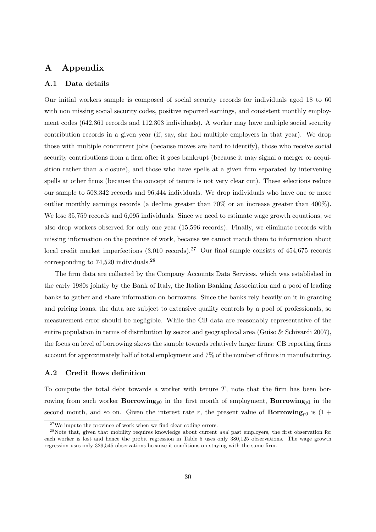# **A Appendix**

#### **A.1 Data details**

Our initial workers sample is composed of social security records for individuals aged 18 to 60 with non missing social security codes, positive reported earnings, and consistent monthly employment codes (642,361 records and 112,303 individuals). A worker may have multiple social security contribution records in a given year (if, say, she had multiple employers in that year). We drop those with multiple concurrent jobs (because moves are hard to identify), those who receive social security contributions from a firm after it goes bankrupt (because it may signal a merger or acquisition rather than a closure), and those who have spells at a given firm separated by intervening spells at other firms (because the concept of tenure is not very clear cut). These selections reduce our sample to 508,342 records and 96,444 individuals. We drop individuals who have one or more outlier monthly earnings records (a decline greater than 70% or an increase greater than 400%). We lose 35,759 records and 6,095 individuals. Since we need to estimate wage growth equations, we also drop workers observed for only one year (15,596 records). Finally, we eliminate records with missing information on the province of work, because we cannot match them to information about local credit market imperfections  $(3,010 \text{ records})$ .<sup>27</sup> Our final sample consists of 454,675 records corresponding to 74,520 individuals.<sup>28</sup>

The firm data are collected by the Company Accounts Data Services, which was established in the early 1980s jointly by the Bank of Italy, the Italian Banking Association and a pool of leading banks to gather and share information on borrowers. Since the banks rely heavily on it in granting and pricing loans, the data are subject to extensive quality controls by a pool of professionals, so measurement error should be negligible. While the CB data are reasonably representative of the entire population in terms of distribution by sector and geographical area (Guiso & Schivardi 2007), the focus on level of borrowing skews the sample towards relatively larger firms: CB reporting firms account for approximately half of total employment and 7% of the number of firms in manufacturing.

#### **A.2 Credit flows definition**

To compute the total debt towards a worker with tenure  $T$ , note that the firm has been borrowing from such worker **Borrowing**<sub>p0</sub> in the first month of employment, **Borrowing**<sub>p1</sub> in the second month, and so on. Given the interest rate r, the present value of **Borrowing**<sub>p0</sub> is  $(1 +$ 

 $^{27}\mathrm{We}$  impute the province of work when we find clear coding errors.

<sup>&</sup>lt;sup>28</sup>Note that, given that mobility requires knowledge about current *and* past employers, the first observation for each worker is lost and hence the probit regression in Table 5 uses only 380,125 observations. The wage growth regression uses only 329,545 observations because it conditions on staying with the same firm.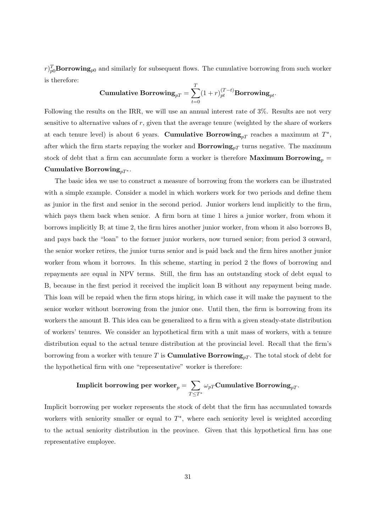$r$ <sub>p</sub> $_{p0}^{T}$ **Borrowing**<sub>p0</sub> and similarly for subsequent flows. The cumulative borrowing from such worker is therefore:

Cumulative Borrowing<sub>*pT*</sub> = 
$$
\sum_{t=0}^{T} (1+r)_{pt}^{(T-t)}
$$
 Borrowing<sub>*pt*</sub>.

Following the results on the IRR, we will use an annual interest rate of 3%. Results are not very sensitive to alternative values of  $r$ , given that the average tenure (weighted by the share of workers at each tenure level) is about 6 years. **Cumulative Borrowing**<sub>pT</sub> reaches a maximum at  $T^*$ , after which the firm starts repaying the worker and  $\mathbf{Borrowing}_{pT}$  turns negative. The maximum stock of debt that a firm can accumulate form a worker is therefore **Maximum Borrowing**<sub>p</sub> = **Cumulative Borrowing**<sub> $pT^*$ </sub>.

The basic idea we use to construct a measure of borrowing from the workers can be illustrated with a simple example. Consider a model in which workers work for two periods and define them as junior in the first and senior in the second period. Junior workers lend implicitly to the firm, which pays them back when senior. A firm born at time 1 hires a junior worker, from whom it borrows implicitly B; at time 2, the firm hires another junior worker, from whom it also borrows B, and pays back the "loan" to the former junior workers, now turned senior; from period 3 onward, the senior worker retires, the junior turns senior and is paid back and the firm hires another junior worker from whom it borrows. In this scheme, starting in period 2 the flows of borrowing and repayments are equal in NPV terms. Still, the firm has an outstanding stock of debt equal to B, because in the first period it received the implicit loan B without any repayment being made. This loan will be repaid when the firm stops hiring, in which case it will make the payment to the senior worker without borrowing from the junior one. Until then, the firm is borrowing from its workers the amount B. This idea can be generalized to a firm with a given steady-state distribution of workers' tenures. We consider an hypothetical firm with a unit mass of workers, with a tenure distribution equal to the actual tenure distribution at the provincial level. Recall that the firm's borrowing from a worker with tenure T is **Cumulative Borrowing**<sub>pT</sub>. The total stock of debt for the hypothetical firm with one "representative" worker is therefore:

$$
\text{Implicit borrowing per worker}_p = \sum_{T \leq T^*} \omega_{pT} \text{Cumulative Borrowing}_{pT}.
$$

Implicit borrowing per worker represents the stock of debt that the firm has accumulated towards workers with seniority smaller or equal to  $T^*$ , where each seniority level is weighted according to the actual seniority distribution in the province. Given that this hypothetical firm has one representative employee.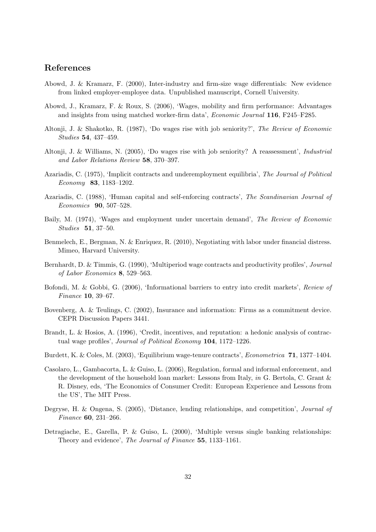# **References**

- Abowd, J. & Kramarz, F. (2000), Inter-industry and firm-size wage differentials: New evidence from linked employer-employee data. Unpublished manuscript, Cornell University.
- Abowd, J., Kramarz, F. & Roux, S. (2006), 'Wages, mobility and firm performance: Advantages and insights from using matched worker-firm data', Economic Journal **116**, F245–F285.
- Altonji, J. & Shakotko, R. (1987), 'Do wages rise with job seniority?', The Review of Economic Studies **54**, 437–459.
- Altonji, J. & Williams, N. (2005), 'Do wages rise with job seniority? A reassessment', Industrial and Labor Relations Review **58**, 370–397.
- Azariadis, C. (1975), 'Implicit contracts and underemployment equilibria', The Journal of Political Economy **83**, 1183–1202.
- Azariadis, C. (1988), 'Human capital and self-enforcing contracts', The Scandinavian Journal of Economics **90**, 507–528.
- Baily, M. (1974), 'Wages and employment under uncertain demand', The Review of Economic Studies **51**, 37–50.
- Benmelech, E., Bergman, N. & Enriquez, R. (2010), Negotiating with labor under financial distress. Mimeo, Harvard University.
- Bernhardt, D. & Timmis, G. (1990), 'Multiperiod wage contracts and productivity profiles', Journal of Labor Economics **8**, 529–563.
- Bofondi, M. & Gobbi, G. (2006), 'Informational barriers to entry into credit markets', Review of Finance **10**, 39–67.
- Bovenberg, A. & Teulings, C. (2002), Insurance and information: Firms as a commitment device. CEPR Discussion Papers 3441.
- Brandt, L. & Hosios, A. (1996), 'Credit, incentives, and reputation: a hedonic analysis of contractual wage profiles', Journal of Political Economy **104**, 1172–1226.
- Burdett, K. & Coles, M. (2003), 'Equilibrium wage-tenure contracts', Econometrica **71**, 1377–1404.
- Casolaro, L., Gambacorta, L. & Guiso, L. (2006), Regulation, formal and informal enforcement, and the development of the household loan market: Lessons from Italy, in G. Bertola, C. Grant & R. Disney, eds, 'The Economics of Consumer Credit: European Experience and Lessons from the US', The MIT Press.
- Degryse, H. & Ongena, S. (2005), 'Distance, lending relationships, and competition', Journal of Finance **60**, 231–266.
- Detragiache, E., Garella, P. & Guiso, L. (2000), 'Multiple versus single banking relationships: Theory and evidence', The Journal of Finance **55**, 1133–1161.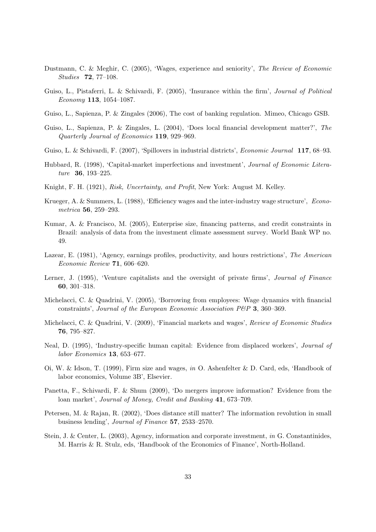- Dustmann, C. & Meghir, C. (2005), 'Wages, experience and seniority', The Review of Economic Studies **72**, 77–108.
- Guiso, L., Pistaferri, L. & Schivardi, F. (2005), 'Insurance within the firm', Journal of Political Economy **113**, 1054–1087.
- Guiso, L., Sapienza, P. & Zingales (2006), The cost of banking regulation. Mimeo, Chicago GSB.
- Guiso, L., Sapienza, P. & Zingales, L. (2004), 'Does local financial development matter?', The Quarterly Journal of Economics **119**, 929–969.
- Guiso, L. & Schivardi, F. (2007), 'Spillovers in industrial districts', Economic Journal **117**, 68–93.
- Hubbard, R. (1998), 'Capital-market imperfections and investment', Journal of Economic Literature **36**, 193–225.
- Knight, F. H. (1921), Risk, Uncertainty, and Profit, New York: August M. Kelley.
- Krueger, A. & Summers, L. (1988), 'Efficiency wages and the inter-industry wage structure', Econometrica **56**, 259–293.
- Kumar, A. & Francisco, M. (2005), Enterprise size, financing patterns, and credit constraints in Brazil: analysis of data from the investment climate assessment survey. World Bank WP no. 49.
- Lazear, E. (1981), 'Agency, earnings profiles, productivity, and hours restrictions', The American Economic Review **71**, 606–620.
- Lerner, J. (1995), 'Venture capitalists and the oversight of private firms', *Journal of Finance* **60**, 301–318.
- Michelacci, C. & Quadrini, V. (2005), 'Borrowing from employees: Wage dynamics with financial constraints', Journal of the European Economic Association P&P **3**, 360–369.
- Michelacci, C. & Quadrini, V. (2009), 'Financial markets and wages', Review of Economic Studies **76**, 795–827.
- Neal, D. (1995), 'Industry-specific human capital: Evidence from displaced workers', Journal of labor Economics **13**, 653–677.
- Oi, W. & Idson, T. (1999), Firm size and wages, in O. Ashenfelter & D. Card, eds, 'Handbook of labor economics, Volume 3B', Elsevier.
- Panetta, F., Schivardi, F. & Shum (2009), 'Do mergers improve information? Evidence from the loan market', Journal of Money, Credit and Banking **41**, 673–709.
- Petersen, M. & Rajan, R. (2002), 'Does distance still matter? The information revolution in small business lending', Journal of Finance **57**, 2533–2570.
- Stein, J. & Center, L. (2003), Agency, information and corporate investment, in G. Constantinides, M. Harris & R. Stulz, eds, 'Handbook of the Economics of Finance', North-Holland.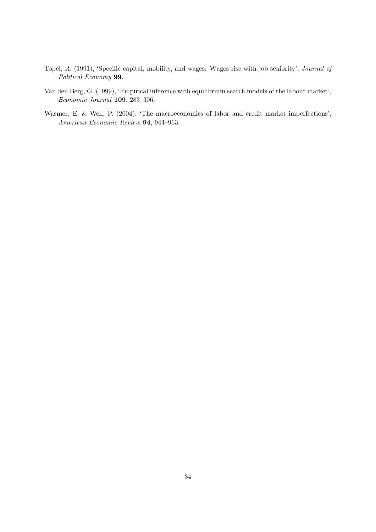- Topel, R. (1991), 'Specific capital, mobility, and wages: Wages rise with job seniority', Journal of Political Economy **99**.
- Van den Berg, G. (1999), 'Empirical inference with equilibrium search models of the labour market', Economic Journal **109**, 283–306.
- Wasmer, E. & Weil, P. (2004), 'The macroeconomics of labor and credit market imperfections', American Economic Review **94**, 944–963.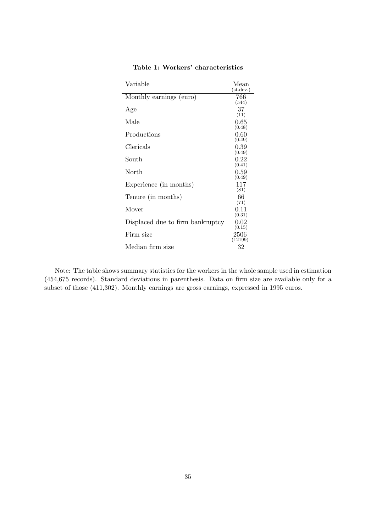| Variable                         | Mean<br>(st. dev.) |
|----------------------------------|--------------------|
| Monthly earnings (euro)          | 766<br>(544)       |
| Age                              | 37<br>(11)         |
| Male                             | 0.65<br>(0.48)     |
| Productions                      | 0.60<br>(0.49)     |
| Clericals                        | 0.39<br>(0.49)     |
| South                            | 0.22<br>(0.41)     |
| North                            | 0.59<br>(0.49)     |
| Experience (in months)           | 117<br>(81)        |
| Tenure (in months)               | 66<br>(71)         |
| Mover                            | 0.11<br>(0.31)     |
| Displaced due to firm bankruptcy | 0.02<br>(0.15)     |
| Firm size                        | 2506<br>(12199)    |
| Median firm size                 | 32                 |

# **Table 1: Workers' characteristics**

Note: The table shows summary statistics for the workers in the whole sample used in estimation (454,675 records). Standard deviations in parenthesis. Data on firm size are available only for a subset of those (411,302). Monthly earnings are gross earnings, expressed in 1995 euros.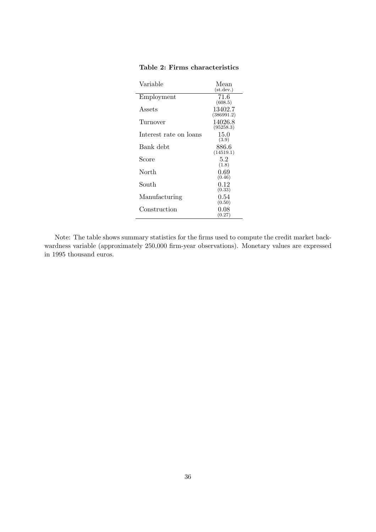| Variable               | Mean                     |
|------------------------|--------------------------|
|                        | (st. dev.)               |
| Employment             | 71.6<br>(608.5)          |
| Assets                 | 13402.7<br>(386991.2)    |
| Turnover               | 14026.8<br>(95258.3)     |
| Interest rate on loans | 15.0<br>(3.9)            |
| Bank debt              | 886.6<br>(14519.1)       |
| Score                  | 5.2<br>(1.8)             |
| North                  | 0.69                     |
| South                  | (0.46)<br>0.12           |
| Manufacturing          | (0.33)<br>0.54<br>(0.50) |
| Construction           | 0.08<br>(0.27)           |

# **Table 2: Firms characteristics**

Note: The table shows summary statistics for the firms used to compute the credit market backwardness variable (approximately 250,000 firm-year observations). Monetary values are expressed in 1995 thousand euros.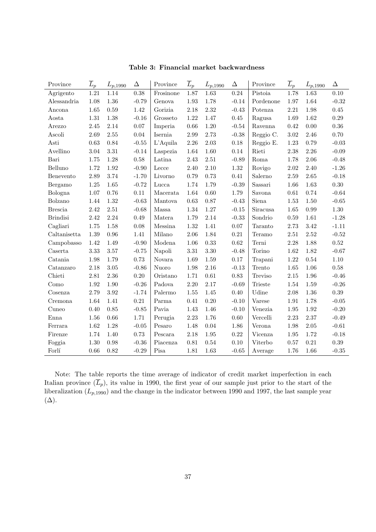| Province        | $\overline{L}_p$ | $L_{p,1990}$ | $\Delta$ | Province    | $\overline{L}_p$ | $L_{p,1990}$ | $\Delta$   | Province       | $\overline{L}_p$ | $L_{p,1990}$ | $\Delta$       |
|-----------------|------------------|--------------|----------|-------------|------------------|--------------|------------|----------------|------------------|--------------|----------------|
| Agrigento       | 1.21             | 1.14         | 0.38     | Frosinone   | 1.87             | 1.63         | 0.24       | Pistoia        | 1.78             | 1.63         | $0.10\,$       |
| Alessandria     | 1.08             | $1.36\,$     | $-0.79$  | Genova      | 1.93             | 1.78         | $-0.14$    | Pordenone      | 1.97             | 1.64         | $-0.32$        |
| Ancona          | 1.65             | 0.59         | 1.42     | Gorizia     | 2.18             | 2.32         | $-0.43$    | Potenza        | 2.21             | 1.98         | 0.45           |
| Aosta           | $1.31\,$         | $1.38\,$     | $-0.16$  | Grosseto    | 1.22             | 1.47         | 0.45       | Ragusa         | 1.69             | 1.62         | 0.29           |
| Arezzo          | 2.45             | 2.14         | 0.07     | Imperia     | 0.66             | 1.20         | $-0.54$    | Ravenna        | 0.42             | 0.00         | $0.36\,$       |
| Ascoli          | 2.69             | $2.55\,$     | 0.04     | Isernia     | 2.99             | 2.73         | $-0.38$    | Reggio C.      | 3.02             | 2.46         | 0.70           |
| Asti            | 0.63             | 0.84         | $-0.55$  | $L'$ Aquila | 2.26             | 2.03         | 0.18       | Reggio E.      | 1.23             | 0.79         | $-0.03$        |
| Avellino        | 3.04             | 3.31         | $-0.14$  | Laspezia    | 1.64             | 1.60         | 0.14       | Rieti          | 2.38             | $2.26\,$     | $-0.09$        |
| Bari            | 1.75             | $1.28\,$     | 0.58     | Latina      | 2.43             | $2.51\,$     | $-0.89$    | Roma           | 1.78             | $2.06\,$     | $-0.48$        |
| Belluno         | 1.72             | $1.92\,$     | $-0.90$  | Lecce       | 2.40             | 2.10         | 1.32       | Rovigo         | $2.02\,$         | 2.40         | $-1.26$        |
| Benevento       | 2.89             | 3.74         | $-1.70$  | Livorno     | 0.79             | 0.73         | 0.41       | Salerno        | 2.59             | 2.65         | $-0.18$        |
| Bergamo         | 1.25             | 1.65         | $-0.72$  | Lucca       | 1.74             | 1.79         | $-0.39$    | Sassari        | 1.66             | 1.63         | 0.30           |
| Bologna         | 1.07             | $0.76\,$     | 0.11     | Macerata    | 1.64             | 0.60         | 1.79       | Savona         | 0.61             | 0.74         | $-0.64$        |
| Bolzano         | 1.44             | 1.32         | $-0.63$  | Mantova     | $\,0.63\,$       | 0.87         | $-0.43$    | Siena          | 1.53             | 1.50         | $-0.65$        |
| <b>Brescia</b>  | 2.42             | $2.51\,$     | $-0.68$  | Massa       | 1.34             | 1.27         | $-0.15$    | Siracusa       | 1.65             | 0.99         | $1.30\,$       |
| <b>Brindisi</b> | 2.42             | 2.24         | 0.49     | Matera      | 1.79             | 2.14         | $-0.33$    | Sondrio        | 0.59             | 1.61         | $-1.28$        |
| Cagliari        | 1.75             | $1.58\,$     | 0.08     | Messina     | 1.32             | 1.41         | $0.07\,$   | Taranto        | 2.73             | $3.42\,$     | $-1.11$        |
| Caltanisetta    | 1.39             | $\rm 0.96$   | 1.41     | Milano      | 2.06             | 1.84         | $\rm 0.21$ | Teramo         | $2.51\,$         | $2.52\,$     | $-0.52$        |
| Campobasso      | 1.42             | 1.49         | $-0.90$  | Modena      | 1.06             | 0.33         | 0.62       | Terni          | 2.28             | 1.88         | $0.52\,$       |
| Caserta         | 3.33             | 3.57         | $-0.75$  | Napoli      | $3.31\,$         | $3.30\,$     | $-0.48$    | Torino         | 1.62             | 1.82         | $-0.67$        |
| Catania         | 1.98             | 1.79         | 0.73     | Novara      | 1.69             | 1.59         | 0.17       | Trapani        | 1.22             | 0.54         | 1.10           |
| Catanzaro       | 2.18             | $3.05\,$     | $-0.86$  | Nuoro       | 1.98             | 2.16         | $-0.13$    | Trento         | 1.65             | 1.06         | 0.58           |
| Chieti          | $2.81\,$         | $2.36\,$     | 0.20     | Oristano    | 1.71             | 0.61         | 0.83       | Treviso        | 2.15             | 1.96         | $-0.46$        |
| Como            | 1.92             | 1.90         | $-0.26$  | Padova      | 2.20             | 2.17         | $-0.69$    | <b>Trieste</b> | 1.54             | 1.59         | $-0.26$        |
| Cosenza         | 2.79             | 3.92         | $-1.74$  | Palermo     | 1.55             | 1.45         | 0.40       | Udine          | 2.08             | 1.36         | 0.39           |
| Cremona         | 1.64             | 1.41         | 0.21     | Parma       | 0.41             | 0.20         | $-0.10$    | Varese         | 1.91             | 1.78         | $-0.05$        |
| Cuneo           | 0.40             | 0.85         | $-0.85$  | Pavia       | 1.43             | 1.46         | $-0.10$    | Venezia        | 1.95             | 1.92         | $-0.20$        |
| Enna            | 1.56             | $0.66\,$     | 1.71     | Perugia     | 2.23             | 1.76         | $0.60\,$   | Vercelli       | 2.23             | 2.37         | $-0.49$        |
| Ferrara         | 1.62             | 1.28         | $-0.05$  | Pesaro      | 1.48             | 0.04         | 1.86       | Verona         | 1.98             | 2.05         | $\text{-}0.61$ |
| Firenze         | 1.74             | 1.40         | 0.73     | Pescara     | 2.18             | 1.95         | 0.22       | Vicenza        | 1.95             | 1.72         | $-0.18$        |
| Foggia          | 1.30             | $\rm 0.98$   | $-0.36$  | Piacenza    | $\rm 0.81$       | 0.54         | 0.10       | Viterbo        | 0.57             | $\rm 0.21$   | $0.39\,$       |
| Forlí           | 0.66             | 0.82         | $-0.29$  | Pisa        | 1.81             | 1.63         | $-0.65$    | Average        | 1.76             | 1.66         | $\text{-}0.35$ |

**Table 3: Financial market backwardness**

Note: The table reports the time average of indicator of credit market imperfection in each Italian province  $(\overline{L}_p)$ , its value in 1990, the first year of our sample just prior to the start of the liberalization  $(L_{p,1990})$  and the change in the indicator between 1990 and 1997, the last sample year  $(\Delta)$ .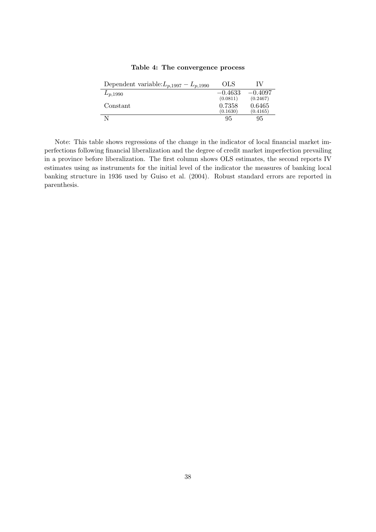| Dependent variable: $L_{p,1997} - L_{p,1990}$ | OLS       |           |
|-----------------------------------------------|-----------|-----------|
| $L_{p,1990}$                                  | $-0.4633$ | $-0.4097$ |
|                                               | (0.0811)  | (0.2467)  |
| Constant                                      | 0.7358    | 0.6465    |
|                                               | (0.1630)  | (0.4165)  |
|                                               | 95        | 95        |
|                                               |           |           |

**Table 4: The convergence process**

Note: This table shows regressions of the change in the indicator of local financial market imperfections following financial liberalization and the degree of credit market imperfection prevailing in a province before liberalization. The first column shows OLS estimates, the second reports IV estimates using as instruments for the initial level of the indicator the measures of banking local banking structure in 1936 used by Guiso et al. (2004). Robust standard errors are reported in parenthesis.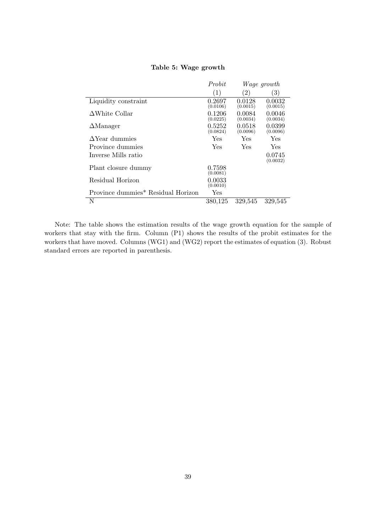|                                                | Probit             |                    | <i>Wage growth</i> |
|------------------------------------------------|--------------------|--------------------|--------------------|
|                                                | (1)                | $\left( 2\right)$  | 3)                 |
| Liquidity constraint                           | 0.2697<br>(0.0106) | 0.0128<br>(0.0015) | 0.0032<br>(0.0015) |
| $\Delta$ White Collar                          | 0.1206<br>(0.0225) | 0.0084<br>(0.0034) | 0.0046<br>(0.0034) |
| $\Delta$ Manager                               | 0.5252<br>(0.0824) | 0.0518<br>(0.0096) | 0.0399<br>(0.0096) |
| $\Delta$ Year dummies                          | Yes                | Yes                | Yes                |
| Province dummies                               | Yes                | Yes                | Yes                |
| Inverse Mills ratio                            |                    |                    | 0.0745<br>(0.0032) |
| Plant closure dummy                            | 0.7598<br>(0.0081) |                    |                    |
| Residual Horizon                               | 0.0033<br>(0.0010) |                    |                    |
| Province dummies <sup>*</sup> Residual Horizon | Yes                |                    |                    |
| N                                              | 380,125            | 329,545            | 329,545            |

#### **Table 5: Wage growth**

Note: The table shows the estimation results of the wage growth equation for the sample of workers that stay with the firm. Column (P1) shows the results of the probit estimates for the workers that have moved. Columns (WG1) and (WG2) report the estimates of equation (3). Robust standard errors are reported in parenthesis.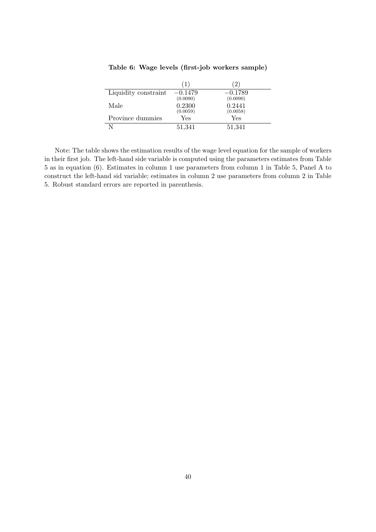|                      |           | $2^{\circ}$ |
|----------------------|-----------|-------------|
| Liquidity constraint | $-0.1479$ | $-0.1789$   |
|                      | (0.0090)  | (0.0090)    |
| Male                 | 0.2300    | 0.2441      |
|                      | (0.0059)  | (0.0058)    |
| Province dummies     | Yes       | Yes         |
|                      | 51,341    | 51,341      |

**Table 6: Wage levels (first-job workers sample)**

Note: The table shows the estimation results of the wage level equation for the sample of workers in their first job. The left-hand side variable is computed using the parameters estimates from Table 5 as in equation (6). Estimates in column 1 use parameters from column 1 in Table 5, Panel A to construct the left-hand sid variable; estimates in column 2 use parameters from column 2 in Table 5. Robust standard errors are reported in parenthesis.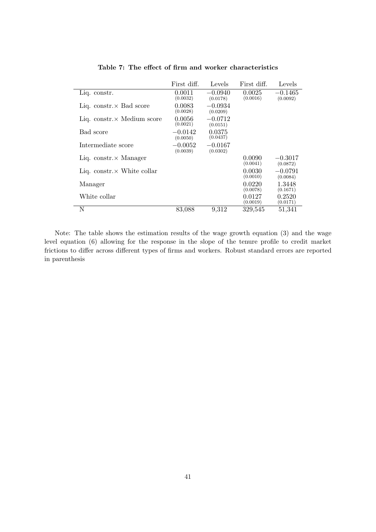|                                    | First diff.           | Levels                | First diff.        | Levels                |
|------------------------------------|-----------------------|-----------------------|--------------------|-----------------------|
| Liq. constr.                       | 0.0011<br>(0.0032)    | $-0.0940$<br>(0.0178) | 0.0025<br>(0.0016) | $-0.1465$<br>(0.0092) |
| Liq. constr. $\times$ Bad score    | 0.0083<br>(0.0028)    | $-0.0934$<br>(0.0209) |                    |                       |
| Liq. constr. $\times$ Medium score | 0.0056<br>(0.0021)    | $-0.0712$<br>(0.0151) |                    |                       |
| Bad score                          | $-0.0142$<br>(0.0050) | 0.0375<br>(0.0437)    |                    |                       |
| Intermediate score                 | $-0.0052$<br>(0.0039) | $-0.0167$<br>(0.0302) |                    |                       |
| Liq. constr. $\times$ Manager      |                       |                       | 0.0090<br>(0.0041) | $-0.3017$<br>(0.0872) |
| Liq. constr. $\times$ White collar |                       |                       | 0.0030<br>(0.0010) | $-0.0791$<br>(0.0084) |
| Manager                            |                       |                       | 0.0220<br>(0.0078) | 1.3448<br>(0.1671)    |
| White collar                       |                       |                       | 0.0127<br>(0.0019) | 0.2520<br>(0.0171)    |
| N                                  | 83,088                | 9,312                 | 329,545            | 51,341                |

**Table 7: The effect of firm and worker characteristics**

Note: The table shows the estimation results of the wage growth equation (3) and the wage level equation (6) allowing for the response in the slope of the tenure profile to credit market frictions to differ across different types of firms and workers. Robust standard errors are reported in parenthesis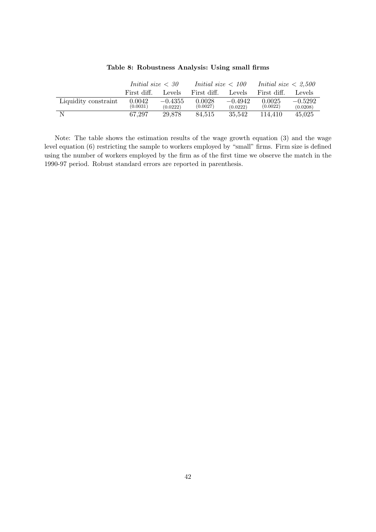|                      | <i>Initial size <math>\langle 30 \rangle</math></i> |                       | <i>Initial size <math>&lt; 100</math></i> |                       | <i>Initial size</i> $\langle 2.500 \rangle$ |                       |  |
|----------------------|-----------------------------------------------------|-----------------------|-------------------------------------------|-----------------------|---------------------------------------------|-----------------------|--|
|                      | First diff.                                         | Levels                | First diff.                               | Levels                | First diff.                                 | Levels                |  |
| Liquidity constraint | 0.0042<br>(0.0031)                                  | $-0.4355$<br>(0.0222) | 0.0028<br>(0.0027)                        | $-0.4942$<br>(0.0222) | 0.0025<br>(0.0022)                          | $-0.5292$<br>(0.0208) |  |
| -N                   | 67.297                                              | 29.878                | 84.515                                    | 35.542                | 114.410                                     | 45.025                |  |

#### **Table 8: Robustness Analysis: Using small firms**

Note: The table shows the estimation results of the wage growth equation (3) and the wage level equation (6) restricting the sample to workers employed by "small" firms. Firm size is defined using the number of workers employed by the firm as of the first time we observe the match in the 1990-97 period. Robust standard errors are reported in parenthesis.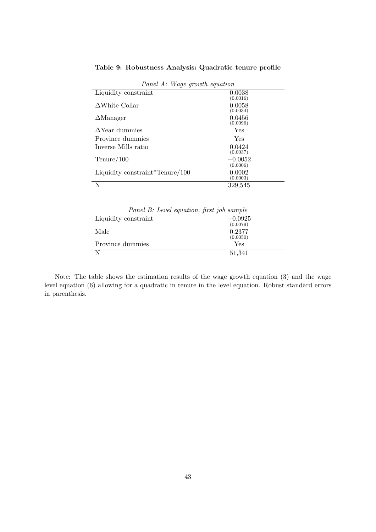|                                      | r anet A. Wage growth equation |  |  |  |  |  |
|--------------------------------------|--------------------------------|--|--|--|--|--|
| Liquidity constraint                 | 0.0038<br>(0.0016)             |  |  |  |  |  |
| $\Delta$ White Collar                | 0.0058<br>(0.0034)             |  |  |  |  |  |
| $\Delta$ Manager                     | 0.0456<br>(0.0096)             |  |  |  |  |  |
| $\Delta$ Year dummies                | Yes                            |  |  |  |  |  |
| Province dummies                     | Yes                            |  |  |  |  |  |
| Inverse Mills ratio                  | 0.0424<br>(0.0037)             |  |  |  |  |  |
| $T$ enure/100                        | $-0.0052$<br>(0.0006)          |  |  |  |  |  |
| Liquidity constraint $T$ enure / 100 | 0.0002<br>(0.0003)             |  |  |  |  |  |
|                                      | 329,545                        |  |  |  |  |  |

**Table 9: Robustness Analysis: Quadratic tenure profile**

| Panel A: Wage growth equation |  |  |  |  |
|-------------------------------|--|--|--|--|
|-------------------------------|--|--|--|--|

| Panel B: Level equation, first job sample |           |
|-------------------------------------------|-----------|
| Liquidity constraint                      | $-0.0925$ |
|                                           | (0.0079)  |
| Male                                      | 0.2377    |
|                                           | (0.0050)  |
| Province dummies                          | Yes       |
| N                                         | 51,341    |

Note: The table shows the estimation results of the wage growth equation (3) and the wage level equation (6) allowing for a quadratic in tenure in the level equation. Robust standard errors in parenthesis.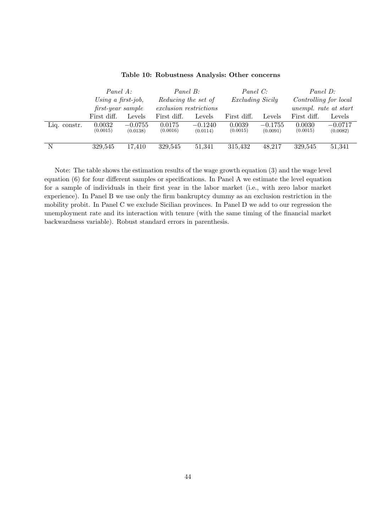|              |                    | Panel A:<br>Panel B:<br>Using a first-job,<br>Reducing the set of<br>exclusion restrictions<br>first-year sample |                    | Panel C:<br><i>Excluding Sicily</i> |                    | Panel D:<br>Controlling for local<br>unempl. rate at start |                    |                       |
|--------------|--------------------|------------------------------------------------------------------------------------------------------------------|--------------------|-------------------------------------|--------------------|------------------------------------------------------------|--------------------|-----------------------|
|              | First diff.        | Levels                                                                                                           | First diff.        | Levels                              | First diff.        | Levels                                                     | First diff.        | Levels                |
| Liq. constr. | 0.0032<br>(0.0015) | $-0.0755$<br>(0.0138)                                                                                            | 0.0175<br>(0.0016) | $-0.1240$<br>(0.0114)               | 0.0039<br>(0.0015) | $-0.1755$<br>(0.0091)                                      | 0.0030<br>(0.0015) | $-0.0717$<br>(0.0082) |
| N            | 329,545            | 17,410                                                                                                           | 329,545            | 51,341                              | 315,432            | 48,217                                                     | 329,545            | 51,341                |

#### **Table 10: Robustness Analysis: Other concerns**

Note: The table shows the estimation results of the wage growth equation (3) and the wage level equation (6) for four different samples or specifications. In Panel A we estimate the level equation for a sample of individuals in their first year in the labor market (i.e., with zero labor market experience). In Panel B we use only the firm bankruptcy dummy as an exclusion restriction in the mobility probit. In Panel C we exclude Sicilian provinces. In Panel D we add to our regression the unemployment rate and its interaction with tenure (with the same timing of the financial market backwardness variable). Robust standard errors in parenthesis.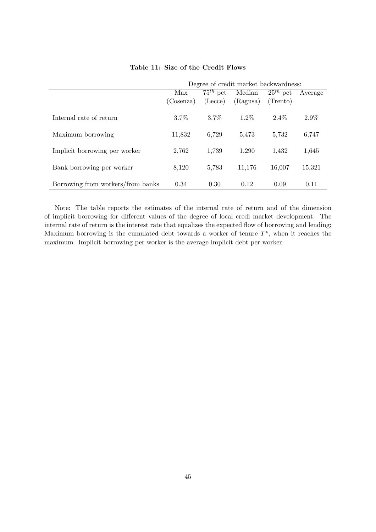|                                   | Degree of credit market backwardness: |               |          |               |         |
|-----------------------------------|---------------------------------------|---------------|----------|---------------|---------|
|                                   | Max                                   | $75^{th}$ pct | Median   | $25^{th}$ pct | Average |
|                                   | (Cosenza)                             | (Lecce)       | (Ragusa) | (Trento)      |         |
| Internal rate of return           | $3.7\%$                               | $3.7\%$       | $1.2\%$  | $2.4\%$       | $2.9\%$ |
| Maximum borrowing                 | 11,832                                | 6,729         | 5,473    | 5,732         | 6,747   |
| Implicit borrowing per worker     | 2,762                                 | 1,739         | 1,290    | 1,432         | 1,645   |
| Bank borrowing per worker         | 8,120                                 | 5,783         | 11,176   | 16,007        | 15,321  |
| Borrowing from workers/from banks | 0.34                                  | 0.30          | 0.12     | 0.09          | 0.11    |

#### **Table 11: Size of the Credit Flows**

Note: The table reports the estimates of the internal rate of return and of the dimension of implicit borrowing for different values of the degree of local credi market development. The internal rate of return is the interest rate that equalizes the expected flow of borrowing and lending; Maximum borrowing is the cumulated debt towards a worker of tenure T∗, when it reaches the maximum. Implicit borrowing per worker is the average implicit debt per worker.